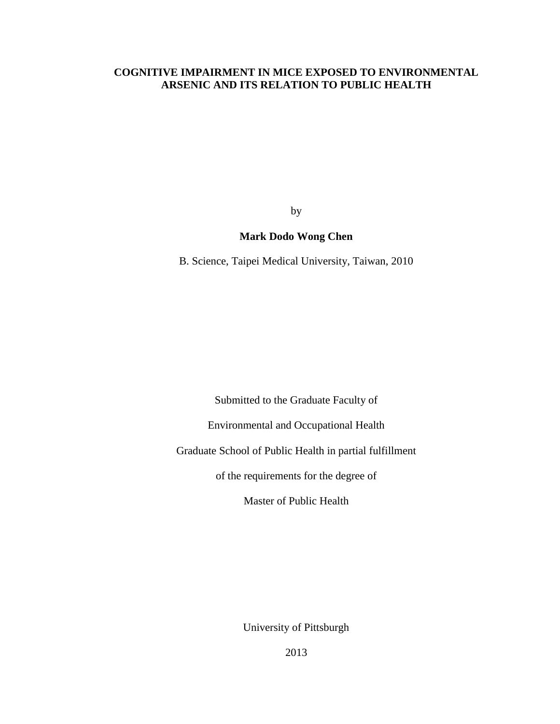# **COGNITIVE IMPAIRMENT IN MICE EXPOSED TO ENVIRONMENTAL ARSENIC AND ITS RELATION TO PUBLIC HEALTH**

by

# **Mark Dodo Wong Chen**

B. Science, Taipei Medical University, Taiwan, 2010

Submitted to the Graduate Faculty of

Environmental and Occupational Health

Graduate School of Public Health in partial fulfillment

of the requirements for the degree of

Master of Public Health

University of Pittsburgh

 $\frac{1}{20}$ 2013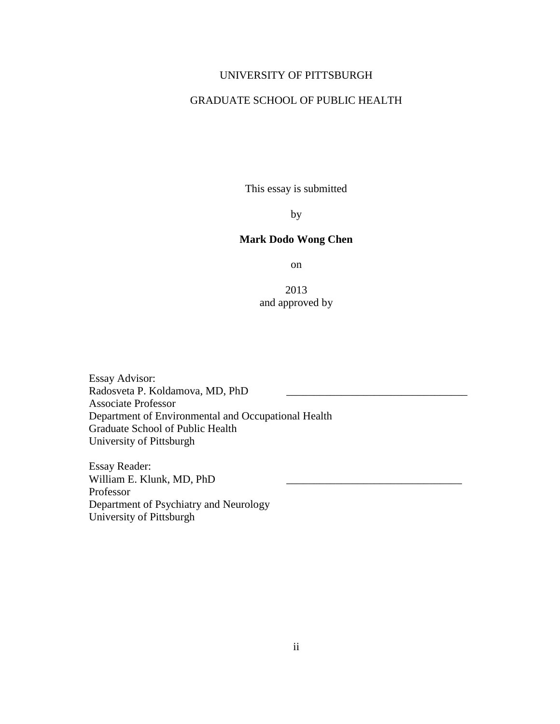# UNIVERSITY OF PITTSBURGH

# GRADUATE SCHOOL OF PUBLIC HEALTH

This essay is submitted

by

# **Mark Dodo Wong Chen**

on

2013 and approved by

Essay Advisor: Radosveta P. Koldamova, MD, PhD \_\_\_\_\_\_\_\_\_\_\_\_\_\_\_\_\_\_\_\_\_\_\_\_\_\_\_\_\_\_\_\_\_ Associate Professor Department of Environmental and Occupational Health Graduate School of Public Health University of Pittsburgh

Essay Reader: William E. Klunk, MD, PhD Professor Department of Psychiatry and Neurology University of Pittsburgh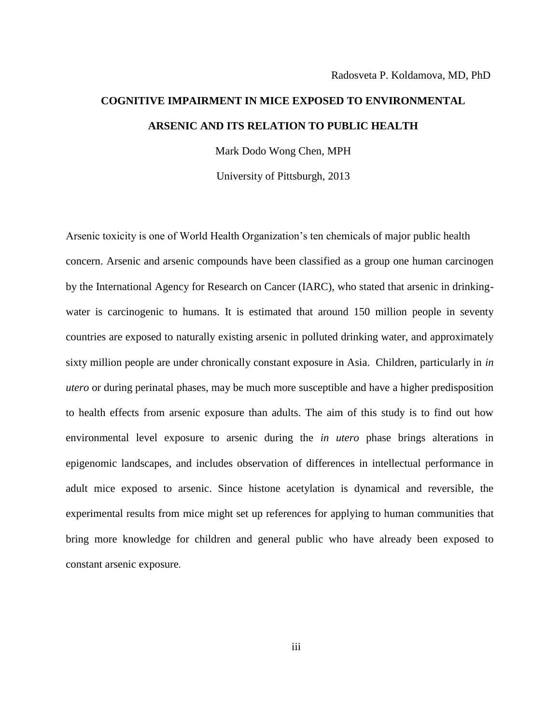# **COGNITIVE IMPAIRMENT IN MICE EXPOSED TO ENVIRONMENTAL ARSENIC AND ITS RELATION TO PUBLIC HEALTH**

Mark Dodo Wong Chen, MPH

University of Pittsburgh, 2013

Arsenic toxicity is one of World Health Organization's ten chemicals of major public health concern. Arsenic and arsenic compounds have been classified as a group one human carcinogen by the International Agency for Research on Cancer (IARC), who stated that arsenic in drinkingwater is carcinogenic to humans. It is estimated that around 150 million people in seventy countries are exposed to naturally existing arsenic in polluted drinking water, and approximately sixty million people are under chronically constant exposure in Asia. Children, particularly in *in utero* or during perinatal phases, may be much more susceptible and have a higher predisposition to health effects from arsenic exposure than adults. The aim of this study is to find out how environmental level exposure to arsenic during the *in utero* phase brings alterations in epigenomic landscapes, and includes observation of differences in intellectual performance in adult mice exposed to arsenic. Since histone acetylation is dynamical and reversible, the experimental results from mice might set up references for applying to human communities that bring more knowledge for children and general public who have already been exposed to constant arsenic exposure.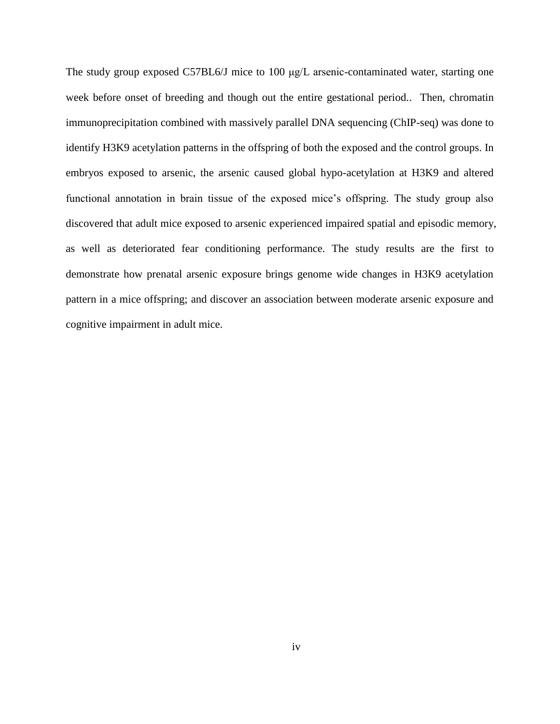The study group exposed C57BL6/J mice to 100 μg/L arsenic-contaminated water, starting one week before onset of breeding and though out the entire gestational period.. Then, chromatin immunoprecipitation combined with massively parallel DNA sequencing (ChIP-seq) was done to identify H3K9 acetylation patterns in the offspring of both the exposed and the control groups. In embryos exposed to arsenic, the arsenic caused global hypo-acetylation at H3K9 and altered functional annotation in brain tissue of the exposed mice's offspring. The study group also discovered that adult mice exposed to arsenic experienced impaired spatial and episodic memory, as well as deteriorated fear conditioning performance. The study results are the first to demonstrate how prenatal arsenic exposure brings genome wide changes in H3K9 acetylation pattern in a mice offspring; and discover an association between moderate arsenic exposure and cognitive impairment in adult mice.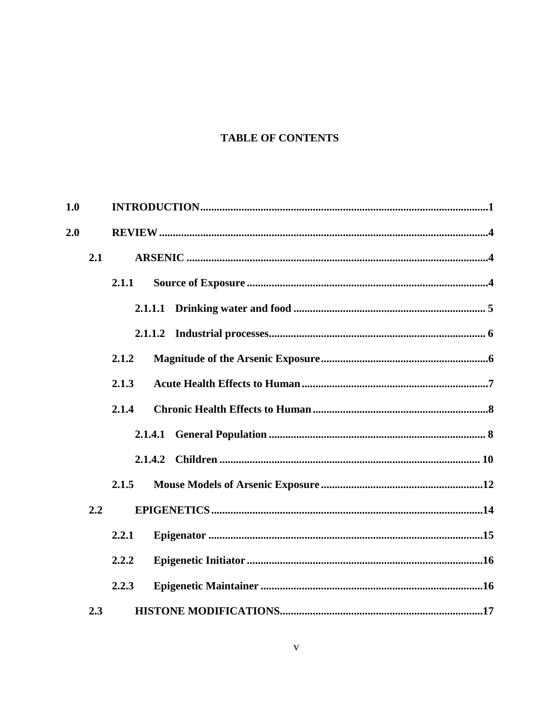# **TABLE OF CONTENTS**

| 1.0 |     |         |  |  |  |
|-----|-----|---------|--|--|--|
| 2.0 |     |         |  |  |  |
|     | 2.1 |         |  |  |  |
|     |     | 2.1.1   |  |  |  |
|     |     |         |  |  |  |
|     |     |         |  |  |  |
|     |     | 2.1.2   |  |  |  |
|     |     | 2.1.3   |  |  |  |
|     |     | 2.1.4   |  |  |  |
|     |     |         |  |  |  |
|     |     | 2.1.4.2 |  |  |  |
|     |     | 2.1.5   |  |  |  |
|     | 2.2 |         |  |  |  |
|     |     | 2.2.1   |  |  |  |
|     |     | 2.2.2   |  |  |  |
|     |     | 2.2.3   |  |  |  |
|     | 2.3 |         |  |  |  |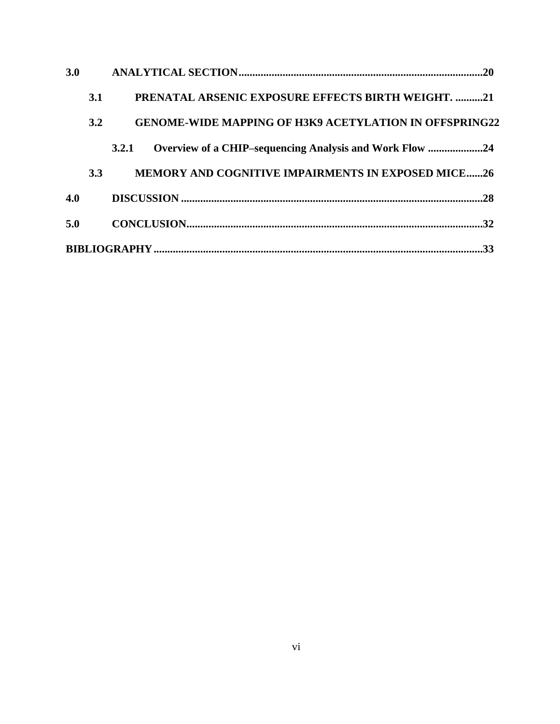| 3.0 |     |                                                                  |
|-----|-----|------------------------------------------------------------------|
|     | 3.1 | <b>PRENATAL ARSENIC EXPOSURE EFFECTS BIRTH WEIGHT. 21</b>        |
|     | 3.2 | <b>GENOME-WIDE MAPPING OF H3K9 ACETYLATION IN OFFSPRING22</b>    |
|     |     | Overview of a CHIP-sequencing Analysis and Work Flow 24<br>3.2.1 |
|     | 3.3 | <b>MEMORY AND COGNITIVE IMPAIRMENTS IN EXPOSED MICE26</b>        |
| 4.0 |     |                                                                  |
| 5.0 |     |                                                                  |
|     |     | .33                                                              |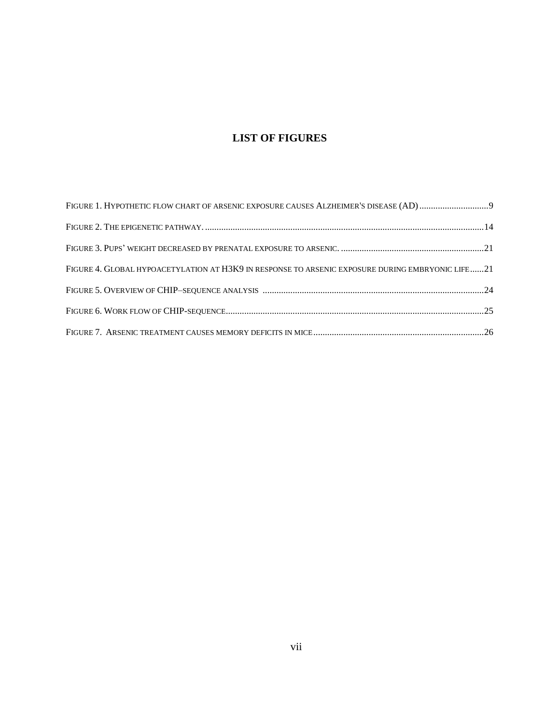# **LIST OF FIGURES**

| FIGURE 4. GLOBAL HYPOACETYLATION AT H3K9 IN RESPONSE TO ARSENIC EXPOSURE DURING EMBRYONIC LIFE21 |  |
|--------------------------------------------------------------------------------------------------|--|
|                                                                                                  |  |
|                                                                                                  |  |
|                                                                                                  |  |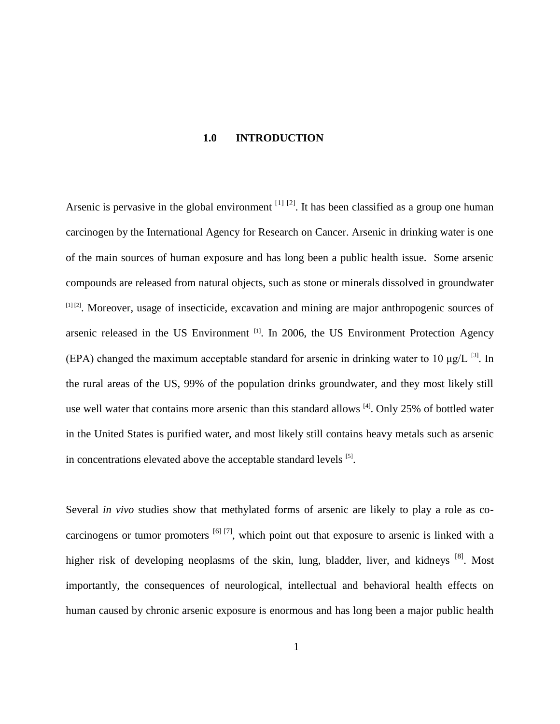#### **1.0 INTRODUCTION**

<span id="page-7-0"></span>Arsenic is pervasive in the global environment  $^{[1]}$   $^{[2]}$ . It has been classified as a group one human carcinogen by the International Agency for Research on Cancer. Arsenic in drinking water is one of the main sources of human exposure and has long been a public health issue. Some arsenic compounds are released from natural objects, such as stone or minerals dissolved in groundwater [1] [2]. Moreover, usage of insecticide, excavation and mining are major anthropogenic sources of arsenic released in the US Environment  $[1]$ . In 2006, the US Environment Protection Agency (EPA) changed the maximum acceptable standard for arsenic in drinking water to 10  $\mu$ g/L <sup>[3]</sup>. In the rural areas of the US, 99% of the population drinks groundwater, and they most likely still use well water that contains more arsenic than this standard allows <sup>[4]</sup>. Only 25% of bottled water in the United States is purified water, and most likely still contains heavy metals such as arsenic in concentrations elevated above the acceptable standard levels  $[5]$ .

Several *in vivo* studies show that methylated forms of arsenic are likely to play a role as cocarcinogens or tumor promoters  $\left[6\right]$   $\left[7\right]$ , which point out that exposure to arsenic is linked with a higher risk of developing neoplasms of the skin, lung, bladder, liver, and kidneys [8]. Most importantly, the consequences of neurological, intellectual and behavioral health effects on human caused by chronic arsenic exposure is enormous and has long been a major public health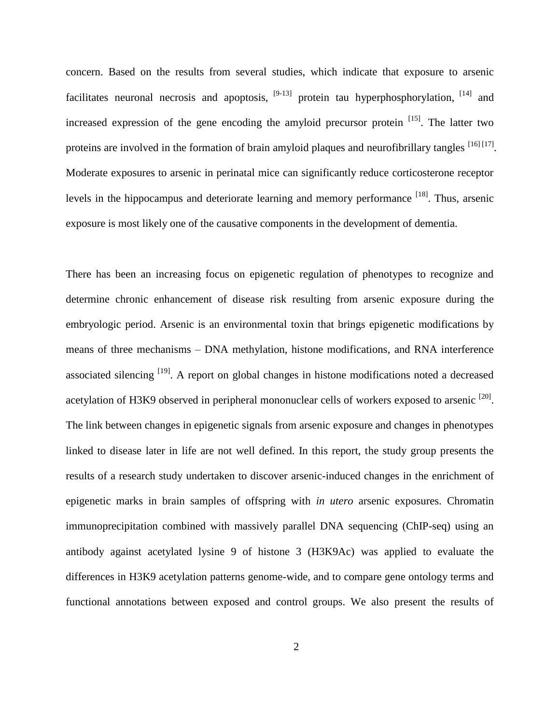concern. Based on the results from several studies, which indicate that exposure to arsenic facilitates neuronal necrosis and apoptosis,  $[9-13]$  protein tau hyperphosphorylation,  $[14]$  and increased expression of the gene encoding the amyloid precursor protein [15]. The latter two proteins are involved in the formation of brain amyloid plaques and neurofibrillary tangles  $^{[16] [17]}$ . Moderate exposures to arsenic in perinatal mice can significantly reduce corticosterone receptor levels in the hippocampus and deteriorate learning and memory performance  $^{[18]}$ . Thus, arsenic exposure is most likely one of the causative components in the development of dementia.

There has been an increasing focus on epigenetic regulation of phenotypes to recognize and determine chronic enhancement of disease risk resulting from arsenic exposure during the embryologic period. Arsenic is an environmental toxin that brings epigenetic modifications by means of three mechanisms – DNA methylation, histone modifications, and RNA interference associated silencing [19]. A report on global changes in histone modifications noted a decreased acetylation of H3K9 observed in peripheral mononuclear cells of workers exposed to arsenic  $^{[20]}$ . The link between changes in epigenetic signals from arsenic exposure and changes in phenotypes linked to disease later in life are not well defined. In this report, the study group presents the results of a research study undertaken to discover arsenic-induced changes in the enrichment of epigenetic marks in brain samples of offspring with *in utero* arsenic exposures. Chromatin immunoprecipitation combined with massively parallel DNA sequencing (ChIP-seq) using an antibody against acetylated lysine 9 of histone 3 (H3K9Ac) was applied to evaluate the differences in H3K9 acetylation patterns genome-wide, and to compare gene ontology terms and functional annotations between exposed and control groups. We also present the results of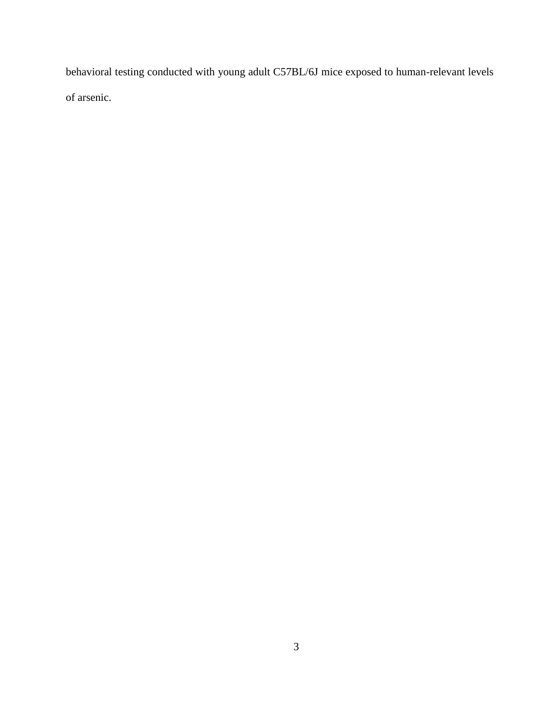behavioral testing conducted with young adult C57BL/6J mice exposed to human-relevant levels of arsenic.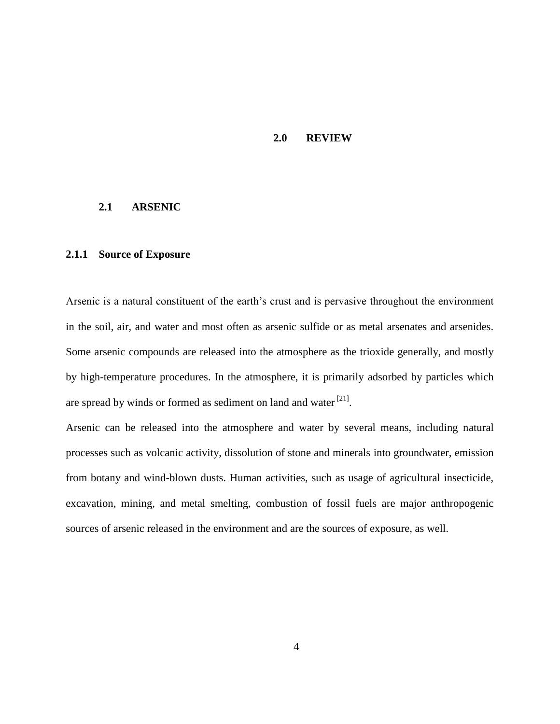#### **2.0 REVIEW**

#### <span id="page-10-1"></span><span id="page-10-0"></span>**2.1 ARSENIC**

#### <span id="page-10-2"></span>**2.1.1 Source of Exposure**

Arsenic is a natural constituent of the earth's crust and is pervasive throughout the environment in the soil, air, and water and most often as arsenic sulfide or as metal arsenates and arsenides. Some arsenic compounds are released into the atmosphere as the trioxide generally, and mostly by high-temperature procedures. In the atmosphere, it is primarily adsorbed by particles which are spread by winds or formed as sediment on land and water  $[21]$ .

Arsenic can be released into the atmosphere and water by several means, including natural processes such as volcanic activity, dissolution of stone and minerals into groundwater, emission from botany and wind-blown dusts. Human activities, such as usage of agricultural insecticide, excavation, mining, and metal smelting, combustion of fossil fuels are major anthropogenic sources of arsenic released in the environment and are the sources of exposure, as well.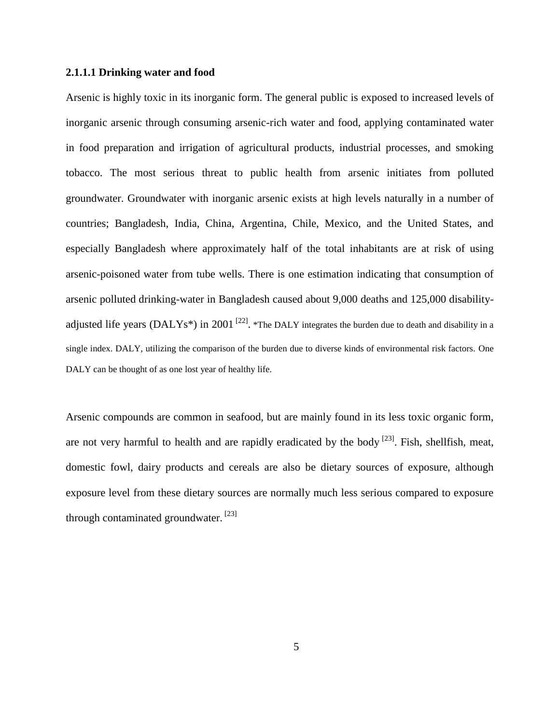#### <span id="page-11-0"></span>**2.1.1.1 Drinking water and food**

Arsenic is highly toxic in its inorganic form. The general public is exposed to increased levels of inorganic arsenic through consuming arsenic-rich water and food, applying contaminated water in food preparation and irrigation of agricultural products, industrial processes, and smoking tobacco. The most serious threat to public health from arsenic initiates from polluted groundwater. Groundwater with inorganic arsenic exists at high levels naturally in a number of countries; Bangladesh, India, China, Argentina, Chile, Mexico, and the United States, and especially Bangladesh where approximately half of the total inhabitants are at risk of using arsenic-poisoned water from tube wells. There is one estimation indicating that consumption of arsenic polluted drinking-water in Bangladesh caused about 9,000 deaths and 125,000 disabilityadjusted life years (DALYs<sup>\*</sup>) in 2001<sup>[22]</sup>. \*The DALY integrates the burden due to death and disability in a single index. DALY, utilizing the comparison of the burden due to diverse kinds of environmental risk factors. One DALY can be thought of as one lost year of healthy life.

Arsenic compounds are common in seafood, but are mainly found in its less toxic organic form, are not very harmful to health and are rapidly eradicated by the body  $[23]$ . Fish, shellfish, meat, domestic fowl, dairy products and cereals are also be dietary sources of exposure, although exposure level from these dietary sources are normally much less serious compared to exposure through contaminated groundwater.  $[23]$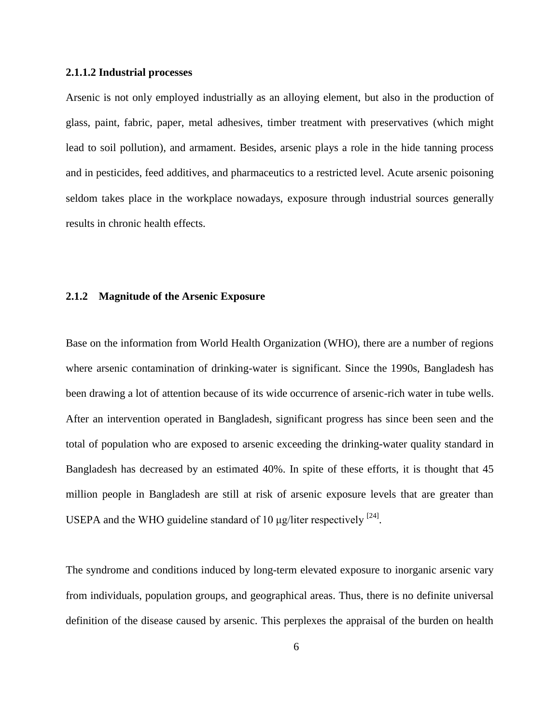#### <span id="page-12-0"></span>**2.1.1.2 Industrial processes**

Arsenic is not only employed industrially as an alloying element, but also in the production of glass, paint, fabric, paper, metal adhesives, timber treatment with preservatives (which might lead to soil pollution), and armament. Besides, arsenic plays a role in the hide tanning process and in pesticides, feed additives, and pharmaceutics to a restricted level. Acute arsenic poisoning seldom takes place in the workplace nowadays, exposure through industrial sources generally results in chronic health effects.

#### <span id="page-12-1"></span>**2.1.2 Magnitude of the Arsenic Exposure**

Base on the information from World Health Organization (WHO), there are a number of regions where arsenic contamination of drinking-water is significant. Since the 1990s, Bangladesh has been drawing a lot of attention because of its wide occurrence of arsenic-rich water in tube wells. After an intervention operated in Bangladesh, significant progress has since been seen and the total of population who are exposed to arsenic exceeding the drinking-water quality standard in Bangladesh has decreased by an estimated 40%. In spite of these efforts, it is thought that 45 million people in Bangladesh are still at risk of arsenic exposure levels that are greater than USEPA and the WHO guideline standard of 10  $\mu$ g/liter respectively <sup>[24]</sup>.

The syndrome and conditions induced by long-term elevated exposure to inorganic arsenic vary from individuals, population groups, and geographical areas. Thus, there is no definite universal definition of the disease caused by arsenic. This perplexes the appraisal of the burden on health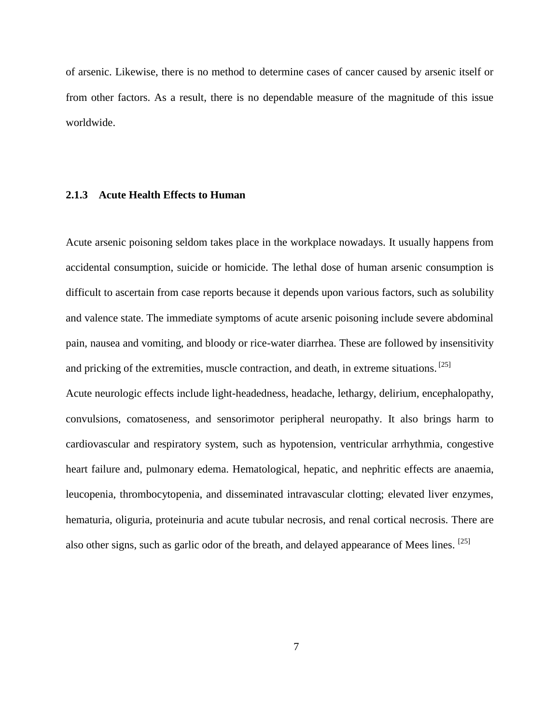of arsenic. Likewise, there is no method to determine cases of cancer caused by arsenic itself or from other factors. As a result, there is no dependable measure of the magnitude of this issue worldwide.

#### <span id="page-13-0"></span>**2.1.3 Acute Health Effects to Human**

Acute arsenic poisoning seldom takes place in the workplace nowadays. It usually happens from accidental consumption, suicide or homicide. The lethal dose of human arsenic consumption is difficult to ascertain from case reports because it depends upon various factors, such as solubility and valence state. The immediate symptoms of acute arsenic poisoning include severe abdominal pain, nausea and vomiting, and bloody or rice-water diarrhea. These are followed by insensitivity and pricking of the extremities, muscle contraction, and death, in extreme situations. [25] Acute neurologic effects include light-headedness, headache, lethargy, delirium, encephalopathy, convulsions, comatoseness, and sensorimotor peripheral neuropathy. It also brings harm to cardiovascular and respiratory system, such as hypotension, ventricular arrhythmia, congestive heart failure and, pulmonary edema. Hematological, hepatic, and nephritic effects are anaemia, leucopenia, thrombocytopenia, and disseminated intravascular clotting; elevated liver enzymes, hematuria, oliguria, proteinuria and acute tubular necrosis, and renal cortical necrosis. There are also other signs, such as garlic odor of the breath, and delayed appearance of Mees lines.  $[25]$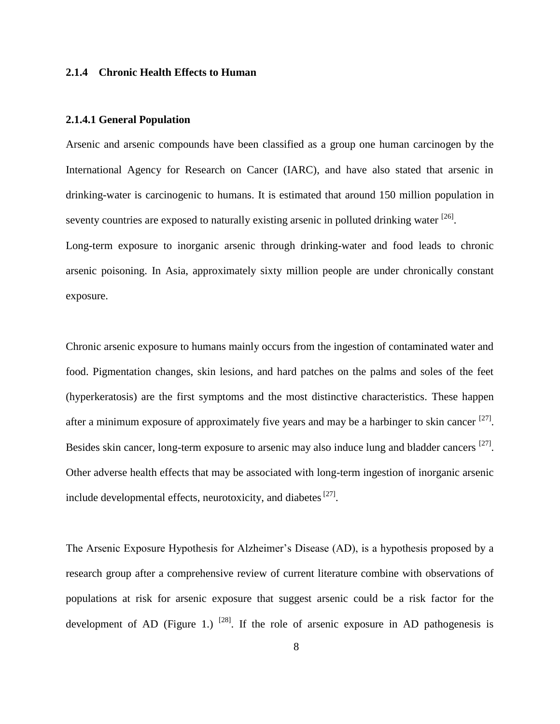#### <span id="page-14-0"></span>**2.1.4 Chronic Health Effects to Human**

#### <span id="page-14-1"></span>**2.1.4.1 General Population**

Arsenic and arsenic compounds have been classified as a group one human carcinogen by the International Agency for Research on Cancer (IARC), and have also stated that arsenic in drinking-water is carcinogenic to humans. It is estimated that around 150 million population in seventy countries are exposed to naturally existing arsenic in polluted drinking water  $^{[26]}$ .

Long-term exposure to inorganic arsenic through drinking-water and food leads to chronic arsenic poisoning. In Asia, approximately sixty million people are under chronically constant exposure.

Chronic arsenic exposure to humans mainly occurs from the ingestion of contaminated water and food. Pigmentation changes, skin lesions, and hard patches on the palms and soles of the feet (hyperkeratosis) are the first symptoms and the most distinctive characteristics. These happen after a minimum exposure of approximately five years and may be a harbinger to skin cancer <sup>[27]</sup>. Besides skin cancer, long-term exposure to arsenic may also induce lung and bladder cancers [27]. Other adverse health effects that may be associated with long-term ingestion of inorganic arsenic include developmental effects, neurotoxicity, and diabetes [27].

The Arsenic Exposure Hypothesis for Alzheimer's Disease (AD), is a hypothesis proposed by a research group after a comprehensive review of current literature combine with observations of populations at risk for arsenic exposure that suggest arsenic could be a risk factor for the development of AD (Figure 1.)  $^{[28]}$ . If the role of arsenic exposure in AD pathogenesis is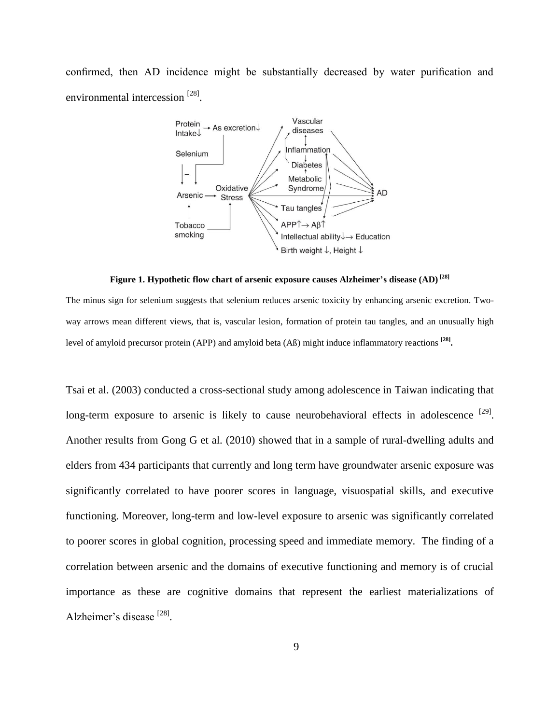confirmed, then AD incidence might be substantially decreased by water purification and environmental intercession [28].



**Figure 1. Hypothetic flow chart of arsenic exposure causes Alzheimer's disease (AD) [28]**

The minus sign for selenium suggests that selenium reduces arsenic toxicity by enhancing arsenic excretion. Twoway arrows mean different views, that is, vascular lesion, formation of protein tau tangles, and an unusually high level of amyloid precursor protein (APP) and amyloid beta (Aß) might induce inflammatory reactions **[28] .**

Tsai et al. (2003) conducted a cross-sectional study among adolescence in Taiwan indicating that long-term exposure to arsenic is likely to cause neurobehavioral effects in adolescence  $[29]$ . Another results from Gong G et al. (2010) showed that in a sample of rural-dwelling adults and elders from 434 participants that currently and long term have groundwater arsenic exposure was significantly correlated to have poorer scores in language, visuospatial skills, and executive functioning. Moreover, long-term and low-level exposure to arsenic was significantly correlated to poorer scores in global cognition, processing speed and immediate memory. The finding of a correlation between arsenic and the domains of executive functioning and memory is of crucial importance as these are cognitive domains that represent the earliest materializations of Alzheimer's disease<sup>[28]</sup>.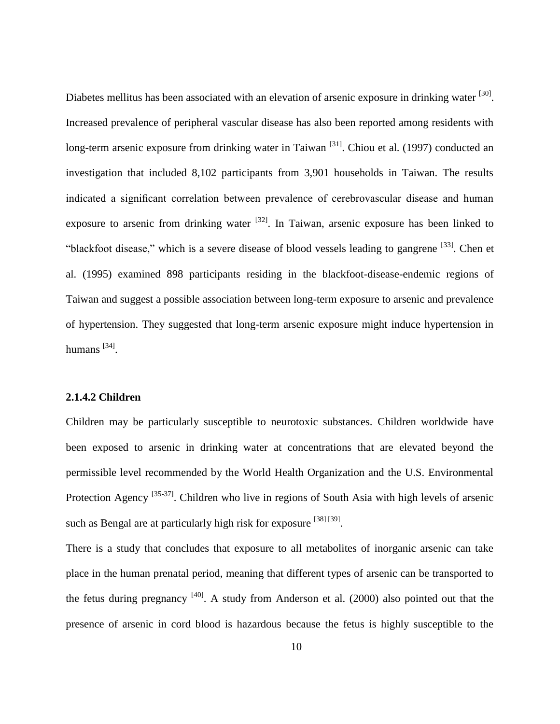Diabetes mellitus has been associated with an elevation of arsenic exposure in drinking water <sup>[30]</sup>. Increased prevalence of peripheral vascular disease has also been reported among residents with long-term arsenic exposure from drinking water in Taiwan <sup>[31]</sup>. Chiou et al. (1997) conducted an investigation that included 8,102 participants from 3,901 households in Taiwan. The results indicated a significant correlation between prevalence of cerebrovascular disease and human exposure to arsenic from drinking water  $^{[32]}$ . In Taiwan, arsenic exposure has been linked to "blackfoot disease," which is a severe disease of blood vessels leading to gangrene [33]. Chen et al. (1995) examined 898 participants residing in the blackfoot-disease-endemic regions of Taiwan and suggest a possible association between long-term exposure to arsenic and prevalence of hypertension. They suggested that long-term arsenic exposure might induce hypertension in humans<sup>[34]</sup>.

# <span id="page-16-0"></span>**2.1.4.2 Children**

Children may be particularly susceptible to neurotoxic substances. Children worldwide have been exposed to arsenic in drinking water at concentrations that are elevated beyond the permissible level recommended by the World Health Organization and the U.S. Environmental Protection Agency <sup>[35-37]</sup>. Children who live in regions of South Asia with high levels of arsenic such as Bengal are at particularly high risk for exposure [38] [39].

There is a study that concludes that exposure to all metabolites of inorganic arsenic can take place in the human prenatal period, meaning that different types of arsenic can be transported to the fetus during pregnancy  $[40]$ . A study from Anderson et al. (2000) also pointed out that the presence of arsenic in cord blood is hazardous because the fetus is highly susceptible to the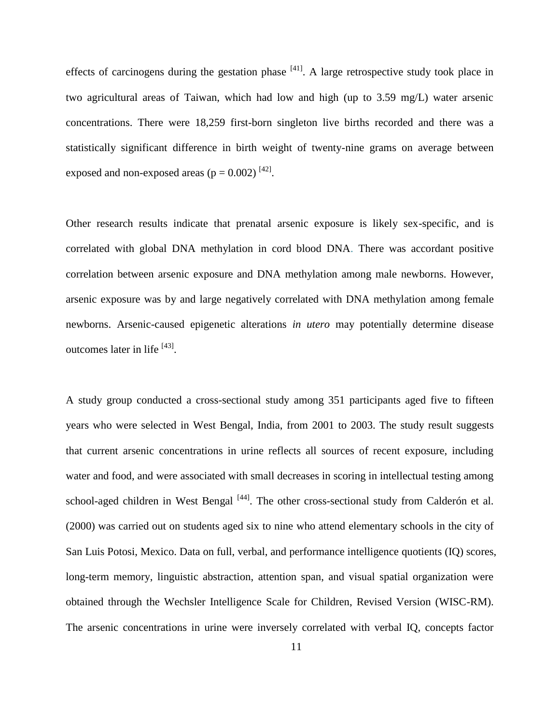effects of carcinogens during the gestation phase  $[41]$ . A large retrospective study took place in two agricultural areas of Taiwan, which had low and high (up to 3.59 mg/L) water arsenic concentrations. There were 18,259 first-born singleton live births recorded and there was a statistically significant difference in birth weight of twenty-nine grams on average between exposed and non-exposed areas  $(p = 0.002)^{[42]}$ .

Other research results indicate that prenatal arsenic exposure is likely sex-specific, and is correlated with global DNA methylation in cord blood DNA. There was accordant positive correlation between arsenic exposure and DNA methylation among male newborns. However, arsenic exposure was by and large negatively correlated with DNA methylation among female newborns. Arsenic-caused epigenetic alterations *in utero* may potentially determine disease outcomes later in life [43].

A study group conducted a cross-sectional study among 351 participants aged five to fifteen years who were selected in West Bengal, India, from 2001 to 2003. The study result suggests that current arsenic concentrations in urine reflects all sources of recent exposure, including water and food, and were associated with small decreases in scoring in intellectual testing among school-aged children in West Bengal<sup>[44]</sup>. The other cross-sectional study from Calderón et al. (2000) was carried out on students aged six to nine who attend elementary schools in the city of San Luis Potosi, Mexico. Data on full, verbal, and performance intelligence quotients (IQ) scores, long-term memory, linguistic abstraction, attention span, and visual spatial organization were obtained through the Wechsler Intelligence Scale for Children, Revised Version (WISC-RM). The arsenic concentrations in urine were inversely correlated with verbal IQ, concepts factor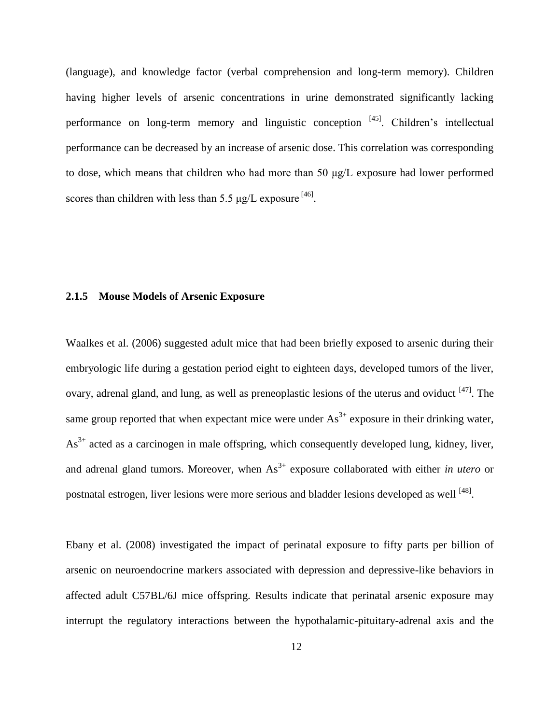(language), and knowledge factor (verbal comprehension and long-term memory). Children having higher levels of arsenic concentrations in urine demonstrated significantly lacking performance on long-term memory and linguistic conception <sup>[45]</sup>. Children's intellectual performance can be decreased by an increase of arsenic dose. This correlation was corresponding to dose, which means that children who had more than 50 μg/L exposure had lower performed scores than children with less than 5.5  $\mu$ g/L exposure <sup>[46]</sup>.

#### <span id="page-18-0"></span>**2.1.5 Mouse Models of Arsenic Exposure**

Waalkes et al. (2006) suggested adult mice that had been briefly exposed to arsenic during their embryologic life during a gestation period eight to eighteen days, developed tumors of the liver, ovary, adrenal gland, and lung, as well as preneoplastic lesions of the uterus and oviduct <sup>[47]</sup>. The same group reported that when expectant mice were under  $As<sup>3+</sup>$  exposure in their drinking water,  $As<sup>3+</sup>$  acted as a carcinogen in male offspring, which consequently developed lung, kidney, liver, and adrenal gland tumors. Moreover, when  $As<sup>3+</sup>$  exposure collaborated with either *in utero* or postnatal estrogen, liver lesions were more serious and bladder lesions developed as well <sup>[48]</sup>.

Ebany et al. (2008) investigated the impact of perinatal exposure to fifty parts per billion of arsenic on neuroendocrine markers associated with depression and depressive-like behaviors in affected adult C57BL/6J mice offspring. Results indicate that perinatal arsenic exposure may interrupt the regulatory interactions between the hypothalamic-pituitary-adrenal axis and the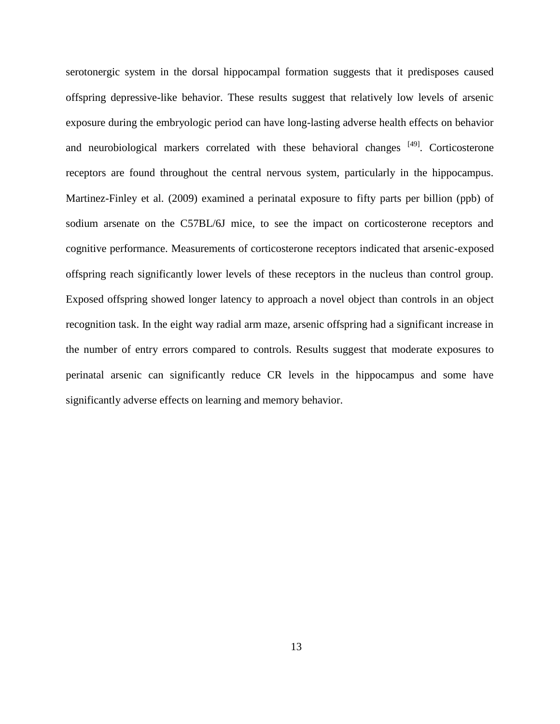serotonergic system in the dorsal hippocampal formation suggests that it predisposes caused offspring depressive-like behavior. These results suggest that relatively low levels of arsenic exposure during the embryologic period can have long-lasting adverse health effects on behavior and neurobiological markers correlated with these behavioral changes  $[49]$ . Corticosterone receptors are found throughout the central nervous system, particularly in the hippocampus. Martinez-Finley et al. (2009) examined a perinatal exposure to fifty parts per billion (ppb) of sodium arsenate on the C57BL/6J mice, to see the impact on corticosterone receptors and cognitive performance. Measurements of corticosterone receptors indicated that arsenic-exposed offspring reach significantly lower levels of these receptors in the nucleus than control group. Exposed offspring showed longer latency to approach a novel object than controls in an object recognition task. In the eight way radial arm maze, arsenic offspring had a significant increase in the number of entry errors compared to controls. Results suggest that moderate exposures to perinatal arsenic can significantly reduce CR levels in the hippocampus and some have significantly adverse effects on learning and memory behavior.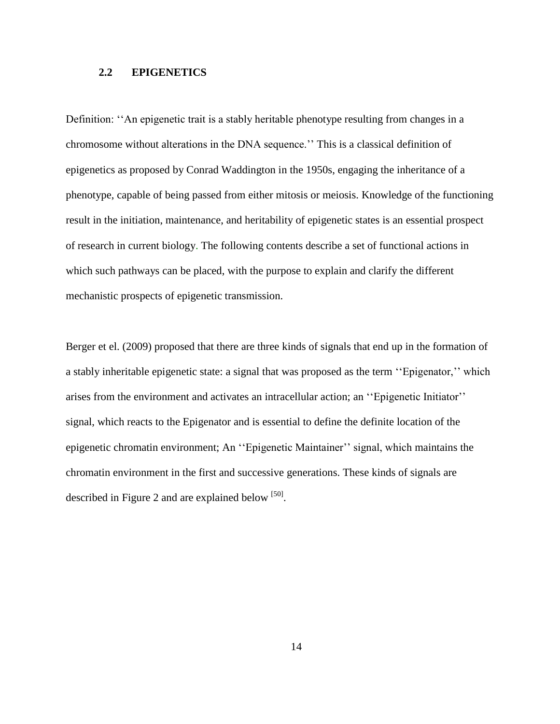## <span id="page-20-0"></span>**2.2 EPIGENETICS**

Definition: "An epigenetic trait is a stably heritable phenotype resulting from changes in a chromosome without alterations in the DNA sequence.'' This is a classical definition of epigenetics as proposed by Conrad Waddington in the 1950s, engaging the inheritance of a phenotype, capable of being passed from either mitosis or meiosis. Knowledge of the functioning result in the initiation, maintenance, and heritability of epigenetic states is an essential prospect of research in current biology. The following contents describe a set of functional actions in which such pathways can be placed, with the purpose to explain and clarify the different mechanistic prospects of epigenetic transmission.

Berger et el. (2009) proposed that there are three kinds of signals that end up in the formation of a stably inheritable epigenetic state: a signal that was proposed as the term ''Epigenator,'' which arises from the environment and activates an intracellular action; an ''Epigenetic Initiator'' signal, which reacts to the Epigenator and is essential to define the definite location of the epigenetic chromatin environment; An ''Epigenetic Maintainer'' signal, which maintains the chromatin environment in the first and successive generations. These kinds of signals are described in Figure 2 and are explained below  $[50]$ .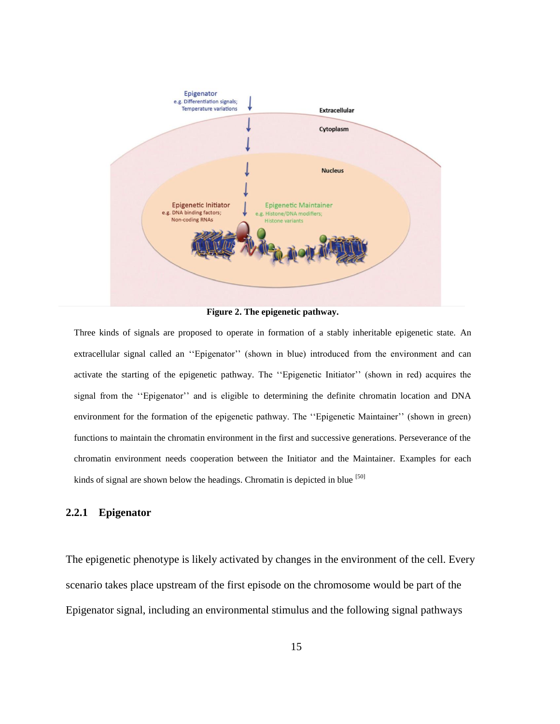

**Figure 2. The epigenetic pathway.**

Three kinds of signals are proposed to operate in formation of a stably inheritable epigenetic state. An extracellular signal called an ''Epigenator'' (shown in blue) introduced from the environment and can activate the starting of the epigenetic pathway. The ''Epigenetic Initiator'' (shown in red) acquires the signal from the ''Epigenator'' and is eligible to determining the definite chromatin location and DNA environment for the formation of the epigenetic pathway. The ''Epigenetic Maintainer'' (shown in green) functions to maintain the chromatin environment in the first and successive generations. Perseverance of the chromatin environment needs cooperation between the Initiator and the Maintainer. Examples for each kinds of signal are shown below the headings. Chromatin is depicted in blue [50]

# <span id="page-21-0"></span>**2.2.1 Epigenator**

The epigenetic phenotype is likely activated by changes in the environment of the cell. Every scenario takes place upstream of the first episode on the chromosome would be part of the Epigenator signal, including an environmental stimulus and the following signal pathways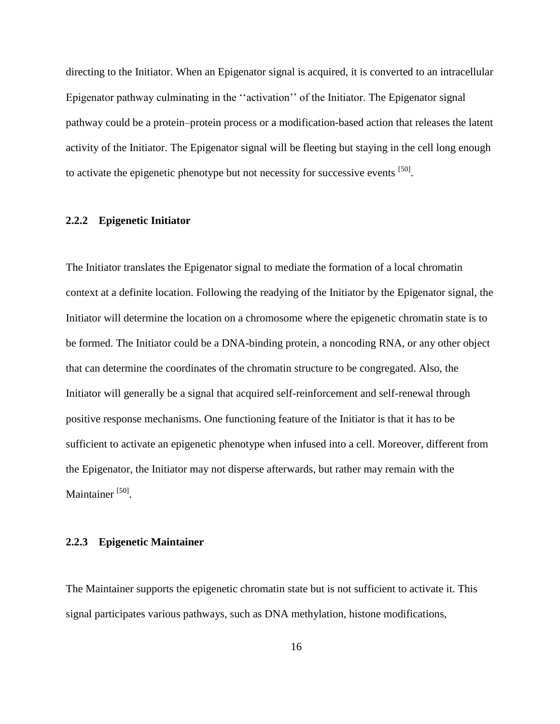directing to the Initiator. When an Epigenator signal is acquired, it is converted to an intracellular Epigenator pathway culminating in the ''activation'' of the Initiator. The Epigenator signal pathway could be a protein–protein process or a modification-based action that releases the latent activity of the Initiator. The Epigenator signal will be fleeting but staying in the cell long enough to activate the epigenetic phenotype but not necessity for successive events [50].

#### <span id="page-22-0"></span>**2.2.2 Epigenetic Initiator**

The Initiator translates the Epigenator signal to mediate the formation of a local chromatin context at a definite location. Following the readying of the Initiator by the Epigenator signal, the Initiator will determine the location on a chromosome where the epigenetic chromatin state is to be formed. The Initiator could be a DNA-binding protein, a noncoding RNA, or any other object that can determine the coordinates of the chromatin structure to be congregated. Also, the Initiator will generally be a signal that acquired self-reinforcement and self-renewal through positive response mechanisms. One functioning feature of the Initiator is that it has to be sufficient to activate an epigenetic phenotype when infused into a cell. Moreover, different from the Epigenator, the Initiator may not disperse afterwards, but rather may remain with the Maintainer [50].

#### <span id="page-22-1"></span>**2.2.3 Epigenetic Maintainer**

The Maintainer supports the epigenetic chromatin state but is not sufficient to activate it. This signal participates various pathways, such as DNA methylation, histone modifications,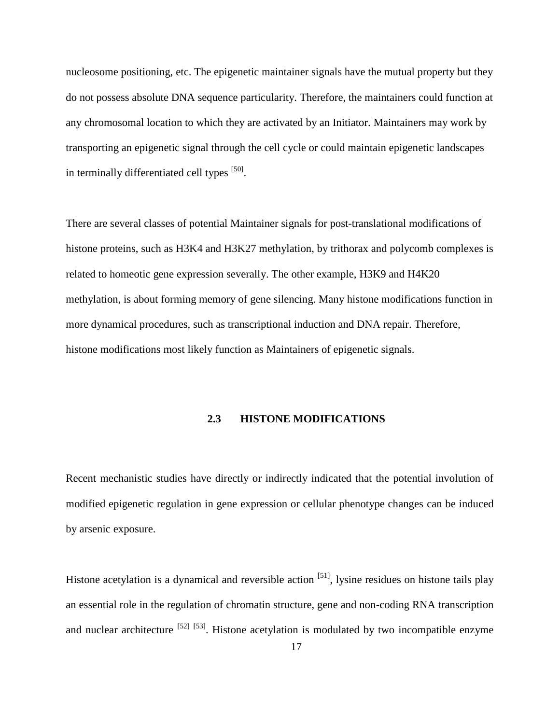nucleosome positioning, etc. The epigenetic maintainer signals have the mutual property but they do not possess absolute DNA sequence particularity. Therefore, the maintainers could function at any chromosomal location to which they are activated by an Initiator. Maintainers may work by transporting an epigenetic signal through the cell cycle or could maintain epigenetic landscapes in terminally differentiated cell types [50].

There are several classes of potential Maintainer signals for post-translational modifications of histone proteins, such as H3K4 and H3K27 methylation, by trithorax and polycomb complexes is related to homeotic gene expression severally. The other example, H3K9 and H4K20 methylation, is about forming memory of gene silencing. Many histone modifications function in more dynamical procedures, such as transcriptional induction and DNA repair. Therefore, histone modifications most likely function as Maintainers of epigenetic signals.

#### **2.3 HISTONE MODIFICATIONS**

<span id="page-23-0"></span>Recent mechanistic studies have directly or indirectly indicated that the potential involution of modified epigenetic regulation in gene expression or cellular phenotype changes can be induced by arsenic exposure.

Histone acetylation is a dynamical and reversible action <sup>[51]</sup>, lysine residues on histone tails play an essential role in the regulation of chromatin structure, gene and non-coding RNA transcription and nuclear architecture  $^{[52]}$   $^{[53]}$ . Histone acetylation is modulated by two incompatible enzyme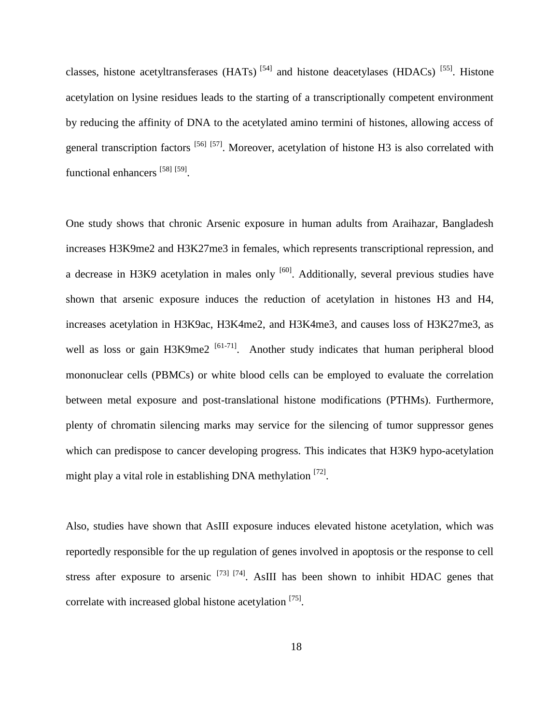classes, histone acetyltransferases (HATs)  $^{[54]}$  and histone deacetylases (HDACs)  $^{[55]}$ . Histone acetylation on lysine residues leads to the starting of a transcriptionally competent environment by reducing the affinity of DNA to the acetylated amino termini of histones, allowing access of general transcription factors <sup>[56] [57]</sup>. Moreover, acetylation of histone H3 is also correlated with functional enhancers [58] [59].

One study shows that chronic Arsenic exposure in human adults from Araihazar, Bangladesh increases H3K9me2 and H3K27me3 in females, which represents transcriptional repression, and a decrease in H3K9 acetylation in males only  $[60]$ . Additionally, several previous studies have shown that arsenic exposure induces the reduction of acetylation in histones H3 and H4, increases acetylation in H3K9ac, H3K4me2, and H3K4me3, and causes loss of H3K27me3, as well as loss or gain  $H3K9me2$  [61-71]. Another study indicates that human peripheral blood mononuclear cells (PBMCs) or white blood cells can be employed to evaluate the correlation between metal exposure and post-translational histone modifications (PTHMs). Furthermore, plenty of chromatin silencing marks may service for the silencing of tumor suppressor genes which can predispose to cancer developing progress. This indicates that H3K9 hypo-acetylation might play a vital role in establishing DNA methylation [72].

Also, studies have shown that AsIII exposure induces elevated histone acetylation, which was reportedly responsible for the up regulation of genes involved in apoptosis or the response to cell stress after exposure to arsenic  $^{[73]}$   $^{[74]}$ . AsIII has been shown to inhibit HDAC genes that correlate with increased global histone acetylation [75].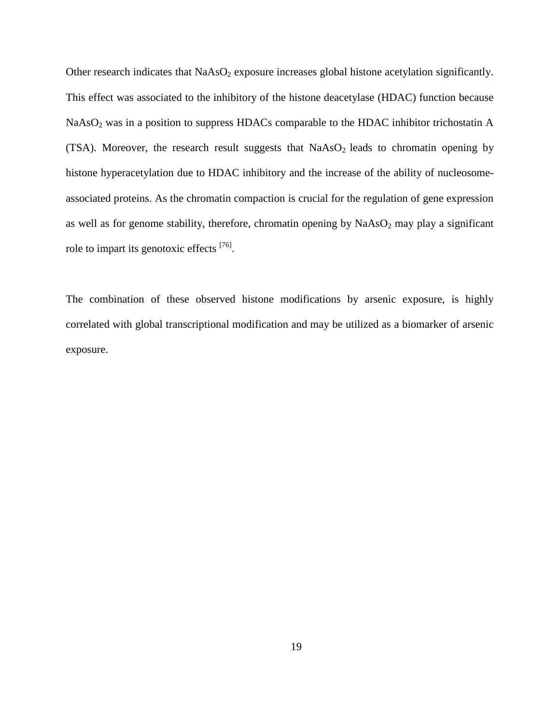Other research indicates that  $NaAsO<sub>2</sub>$  exposure increases global histone acetylation significantly. This effect was associated to the inhibitory of the histone deacetylase (HDAC) function because NaAsO<sub>2</sub> was in a position to suppress HDACs comparable to the HDAC inhibitor trichostatin A (TSA). Moreover, the research result suggests that  $NaAsO<sub>2</sub>$  leads to chromatin opening by histone hyperacetylation due to HDAC inhibitory and the increase of the ability of nucleosomeassociated proteins. As the chromatin compaction is crucial for the regulation of gene expression as well as for genome stability, therefore, chromatin opening by  $NaAsO<sub>2</sub>$  may play a significant role to impart its genotoxic effects [76].

The combination of these observed histone modifications by arsenic exposure, is highly correlated with global transcriptional modification and may be utilized as a biomarker of arsenic exposure.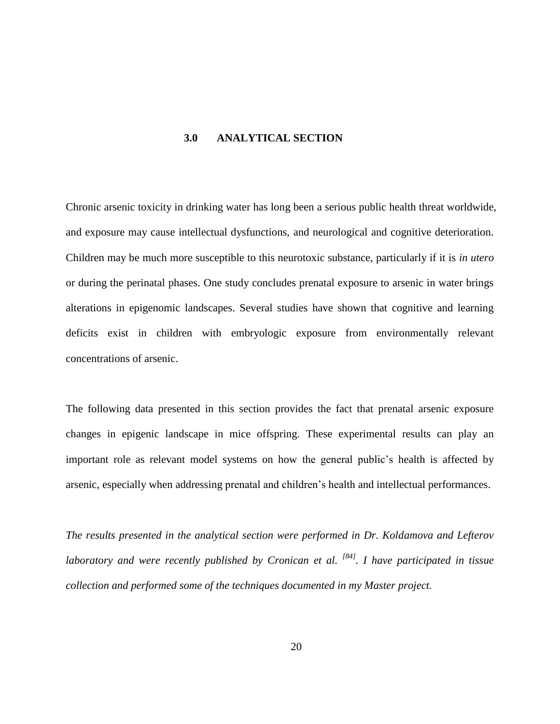#### <span id="page-26-0"></span>**3.0 ANALYTICAL SECTION**

Chronic arsenic toxicity in drinking water has long been a serious public health threat worldwide, and exposure may cause intellectual dysfunctions, and neurological and cognitive deterioration. Children may be much more susceptible to this neurotoxic substance, particularly if it is *in utero* or during the perinatal phases. One study concludes prenatal exposure to arsenic in water brings alterations in epigenomic landscapes. Several studies have shown that cognitive and learning deficits exist in children with embryologic exposure from environmentally relevant concentrations of arsenic.

The following data presented in this section provides the fact that prenatal arsenic exposure changes in epigenic landscape in mice offspring. These experimental results can play an important role as relevant model systems on how the general public's health is affected by arsenic, especially when addressing prenatal and children's health and intellectual performances.

*The results presented in the analytical section were performed in Dr. Koldamova and Lefterov laboratory and were recently published by Cronican et al. [84]. I have participated in tissue collection and performed some of the techniques documented in my Master project.*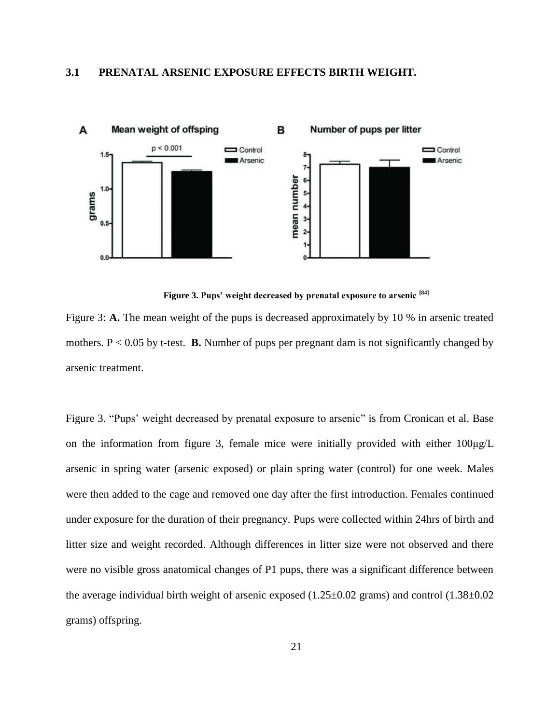#### <span id="page-27-0"></span>**3.1 PRENATAL ARSENIC EXPOSURE EFFECTS BIRTH WEIGHT.**



#### **Figure 3. Pups' weight decreased by prenatal exposure to arsenic [84]**

Figure 3: **A.** The mean weight of the pups is decreased approximately by 10 % in arsenic treated mothers.  $P < 0.05$  by t-test. **B.** Number of pups per pregnant dam is not significantly changed by arsenic treatment.

Figure 3. "Pups' weight decreased by prenatal exposure to arsenic" is from Cronican et al. Base on the information from figure 3, female mice were initially provided with either 100μg/L arsenic in spring water (arsenic exposed) or plain spring water (control) for one week. Males were then added to the cage and removed one day after the first introduction. Females continued under exposure for the duration of their pregnancy. Pups were collected within 24hrs of birth and litter size and weight recorded. Although differences in litter size were not observed and there were no visible gross anatomical changes of P1 pups, there was a significant difference between the average individual birth weight of arsenic exposed  $(1.25\pm0.02 \text{ grams})$  and control  $(1.38\pm0.02 \text{ grams})$ grams) offspring.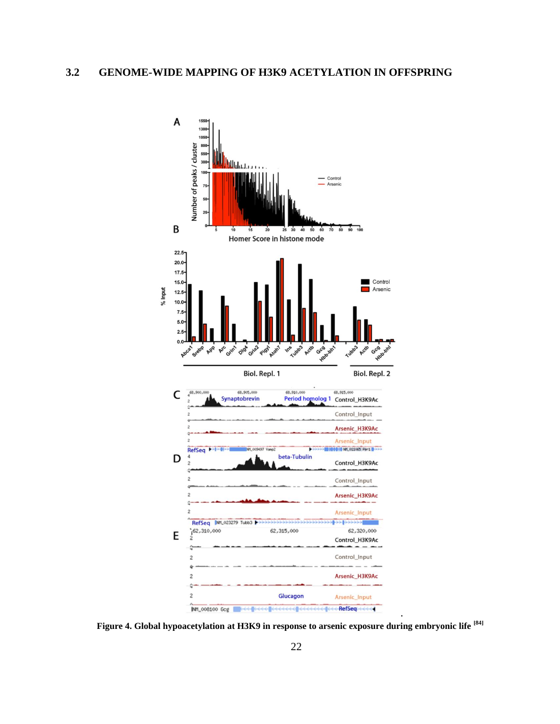<span id="page-28-0"></span>

**Figure 4. Global hypoacetylation at H3K9 in response to arsenic exposure during embryonic life [84]**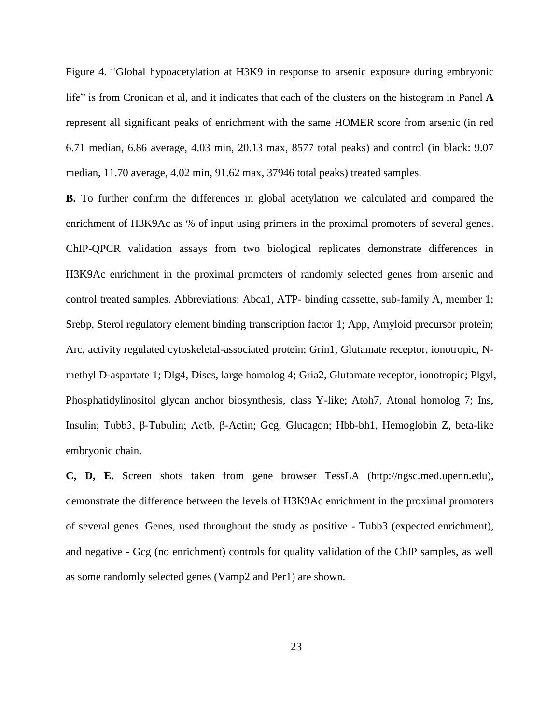Figure 4. "Global hypoacetylation at H3K9 in response to arsenic exposure during embryonic life" is from Cronican et al, and it indicates that each of the clusters on the histogram in Panel **A** represent all significant peaks of enrichment with the same HOMER score from arsenic (in red 6.71 median, 6.86 average, 4.03 min, 20.13 max, 8577 total peaks) and control (in black: 9.07 median, 11.70 average, 4.02 min, 91.62 max, 37946 total peaks) treated samples.

**B.** To further confirm the differences in global acetylation we calculated and compared the enrichment of H3K9Ac as % of input using primers in the proximal promoters of several genes. ChIP-QPCR validation assays from two biological replicates demonstrate differences in H3K9Ac enrichment in the proximal promoters of randomly selected genes from arsenic and control treated samples. Abbreviations: Abca1, ATP- binding cassette, sub-family A, member 1; Srebp, Sterol regulatory element binding transcription factor 1; App, Amyloid precursor protein; Arc, activity regulated cytoskeletal-associated protein; Grin1, Glutamate receptor, ionotropic, Nmethyl D-aspartate 1; Dlg4, Discs, large homolog 4; Gria2, Glutamate receptor, ionotropic; Plgyl, Phosphatidylinositol glycan anchor biosynthesis, class Y-like; Atoh7, Atonal homolog 7; Ins, Insulin; Tubb3, β-Tubulin; Actb, β-Actin; Gcg, Glucagon; Hbb-bh1, Hemoglobin Z, beta-like embryonic chain.

**C, D, E.** Screen shots taken from gene browser TessLA (http://ngsc.med.upenn.edu), demonstrate the difference between the levels of H3K9Ac enrichment in the proximal promoters of several genes. Genes, used throughout the study as positive - Tubb3 (expected enrichment), and negative - Gcg (no enrichment) controls for quality validation of the ChIP samples, as well as some randomly selected genes (Vamp2 and Per1) are shown.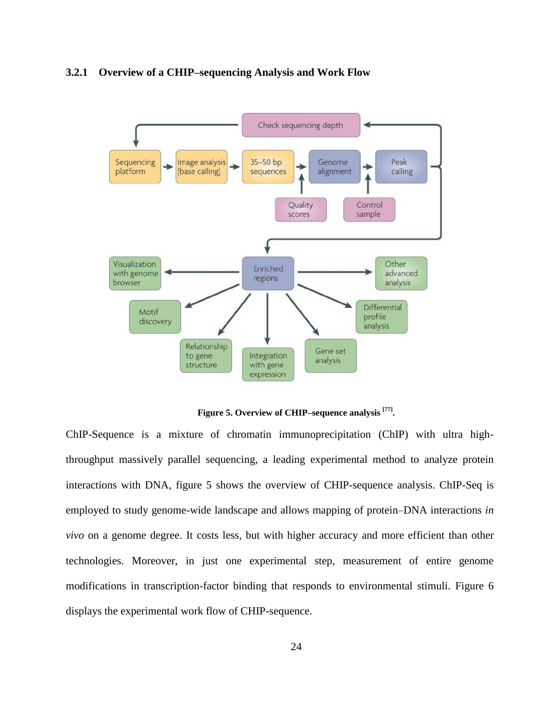#### <span id="page-30-0"></span>**3.2.1 Overview of a CHIP–sequencing Analysis and Work Flow**



**Figure 5. Overview of CHIP–sequence analysis [77] .**

ChIP-Sequence is a mixture of chromatin immunoprecipitation (ChIP) with ultra highthroughput massively parallel sequencing, a leading experimental method to analyze protein interactions with DNA, figure 5 shows the overview of CHIP-sequence analysis. ChIP-Seq is employed to study genome-wide landscape and allows mapping of protein–DNA interactions *in vivo* on a genome degree. It costs less, but with higher accuracy and more efficient than other technologies. Moreover, in just one experimental step, measurement of entire genome modifications in transcription-factor binding that responds to environmental stimuli. Figure 6 displays the experimental work flow of CHIP-sequence.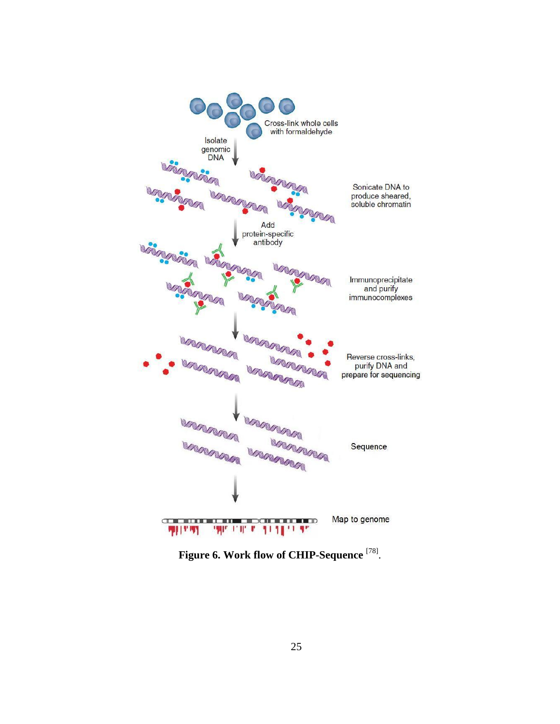

**Figure 6. Work flow of CHIP-Sequence** [78] .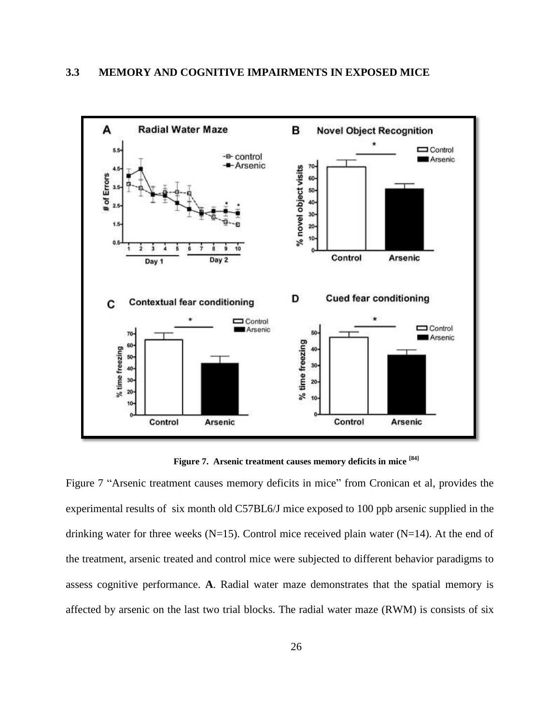<span id="page-32-0"></span>

**Figure 7. Arsenic treatment causes memory deficits in mice [84]**

Figure 7 "Arsenic treatment causes memory deficits in mice" from Cronican et al, provides the experimental results of six month old C57BL6/J mice exposed to 100 ppb arsenic supplied in the drinking water for three weeks (N=15). Control mice received plain water (N=14). At the end of the treatment, arsenic treated and control mice were subjected to different behavior paradigms to assess cognitive performance. **A**. Radial water maze demonstrates that the spatial memory is affected by arsenic on the last two trial blocks. The radial water maze (RWM) is consists of six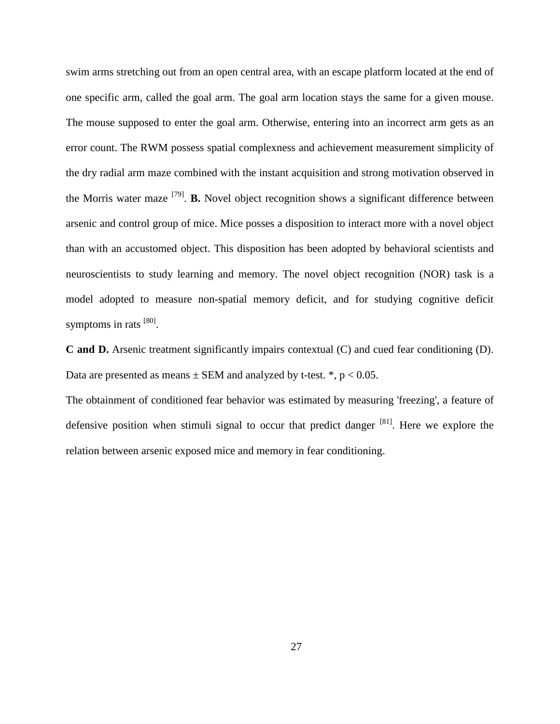swim arms stretching out from an open central area, with an escape platform located at the end of one specific arm, called the goal arm. The goal arm location stays the same for a given mouse. The mouse supposed to enter the goal arm. Otherwise, entering into an incorrect arm gets as an error count. The RWM possess spatial complexness and achievement measurement simplicity of the dry radial arm maze combined with the instant acquisition and strong motivation observed in the Morris water maze [79] . **B.** Novel object recognition shows a significant difference between arsenic and control group of mice. Mice posses a disposition to interact more with a novel object than with an accustomed object. This disposition has been adopted by behavioral scientists and neuroscientists to study learning and memory. The novel object recognition (NOR) task is a model adopted to measure non-spatial memory deficit, and for studying cognitive deficit symptoms in rats [80].

**C and D.** Arsenic treatment significantly impairs contextual (C) and cued fear conditioning (D). Data are presented as means  $\pm$  SEM and analyzed by t-test.  $*$ ,  $p < 0.05$ .

The obtainment of conditioned fear behavior was estimated by measuring 'freezing', a feature of defensive position when stimuli signal to occur that predict danger <sup>[81]</sup>. Here we explore the relation between arsenic exposed mice and memory in fear conditioning.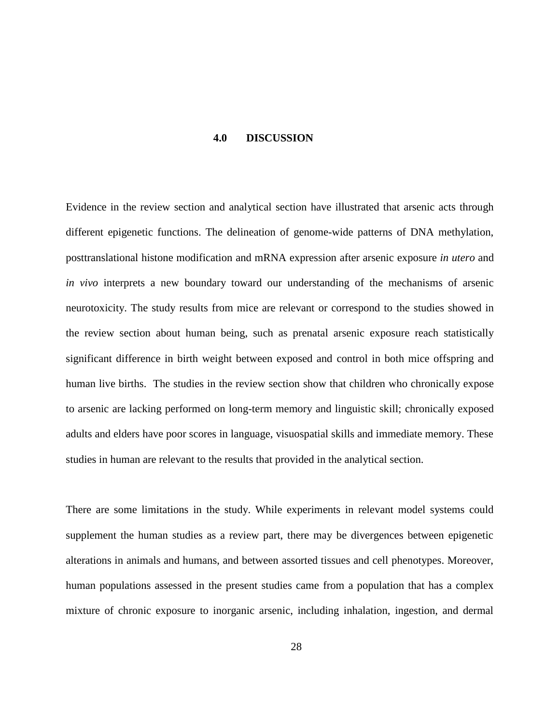#### **4.0 DISCUSSION**

<span id="page-34-0"></span>Evidence in the review section and analytical section have illustrated that arsenic acts through different epigenetic functions. The delineation of genome-wide patterns of DNA methylation, posttranslational histone modification and mRNA expression after arsenic exposure *in utero* and *in vivo* interprets a new boundary toward our understanding of the mechanisms of arsenic neurotoxicity. The study results from mice are relevant or correspond to the studies showed in the review section about human being, such as prenatal arsenic exposure reach statistically significant difference in birth weight between exposed and control in both mice offspring and human live births. The studies in the review section show that children who chronically expose to arsenic are lacking performed on long-term memory and linguistic skill; chronically exposed adults and elders have poor scores in language, visuospatial skills and immediate memory. These studies in human are relevant to the results that provided in the analytical section.

There are some limitations in the study. While experiments in relevant model systems could supplement the human studies as a review part, there may be divergences between epigenetic alterations in animals and humans, and between assorted tissues and cell phenotypes. Moreover, human populations assessed in the present studies came from a population that has a complex mixture of chronic exposure to inorganic arsenic, including inhalation, ingestion, and dermal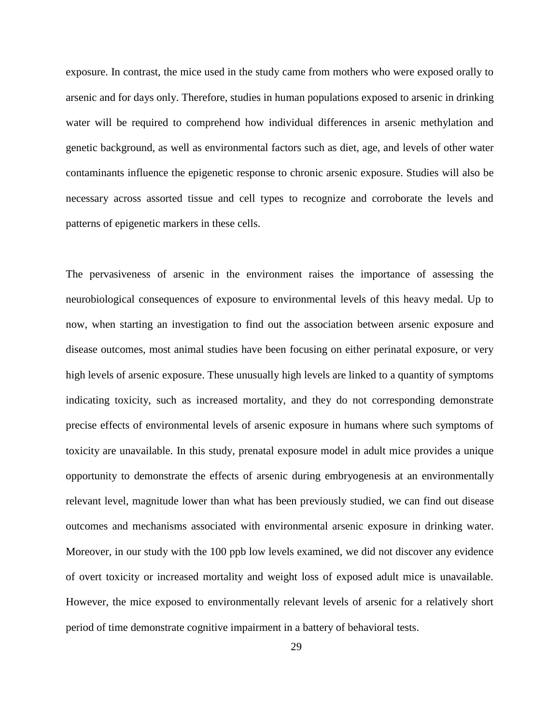exposure. In contrast, the mice used in the study came from mothers who were exposed orally to arsenic and for days only. Therefore, studies in human populations exposed to arsenic in drinking water will be required to comprehend how individual differences in arsenic methylation and genetic background, as well as environmental factors such as diet, age, and levels of other water contaminants influence the epigenetic response to chronic arsenic exposure. Studies will also be necessary across assorted tissue and cell types to recognize and corroborate the levels and patterns of epigenetic markers in these cells.

The pervasiveness of arsenic in the environment raises the importance of assessing the neurobiological consequences of exposure to environmental levels of this heavy medal. Up to now, when starting an investigation to find out the association between arsenic exposure and disease outcomes, most animal studies have been focusing on either perinatal exposure, or very high levels of arsenic exposure. These unusually high levels are linked to a quantity of symptoms indicating toxicity, such as increased mortality, and they do not corresponding demonstrate precise effects of environmental levels of arsenic exposure in humans where such symptoms of toxicity are unavailable. In this study, prenatal exposure model in adult mice provides a unique opportunity to demonstrate the effects of arsenic during embryogenesis at an environmentally relevant level, magnitude lower than what has been previously studied, we can find out disease outcomes and mechanisms associated with environmental arsenic exposure in drinking water. Moreover, in our study with the 100 ppb low levels examined, we did not discover any evidence of overt toxicity or increased mortality and weight loss of exposed adult mice is unavailable. However, the mice exposed to environmentally relevant levels of arsenic for a relatively short period of time demonstrate cognitive impairment in a battery of behavioral tests.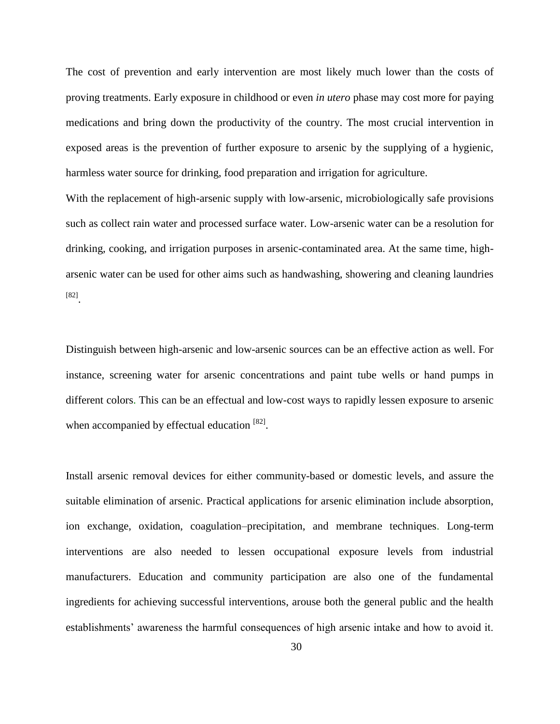The cost of prevention and early intervention are most likely much lower than the costs of proving treatments. Early exposure in childhood or even *in utero* phase may cost more for paying medications and bring down the productivity of the country. The most crucial intervention in exposed areas is the prevention of further exposure to arsenic by the supplying of a hygienic, harmless water source for drinking, food preparation and irrigation for agriculture.

With the replacement of high-arsenic supply with low-arsenic, microbiologically safe provisions such as collect rain water and processed surface water. Low-arsenic water can be a resolution for drinking, cooking, and irrigation purposes in arsenic-contaminated area. At the same time, higharsenic water can be used for other aims such as handwashing, showering and cleaning laundries [82] .

Distinguish between high-arsenic and low-arsenic sources can be an effective action as well. For instance, screening water for arsenic concentrations and paint tube wells or hand pumps in different colors. This can be an effectual and low-cost ways to rapidly lessen exposure to arsenic when accompanied by effectual education [82].

Install arsenic removal devices for either community-based or domestic levels, and assure the suitable elimination of arsenic. Practical applications for arsenic elimination include absorption, ion exchange, oxidation, coagulation–precipitation, and membrane techniques. Long-term interventions are also needed to lessen occupational exposure levels from industrial manufacturers. Education and community participation are also one of the fundamental ingredients for achieving successful interventions, arouse both the general public and the health establishments' awareness the harmful consequences of high arsenic intake and how to avoid it.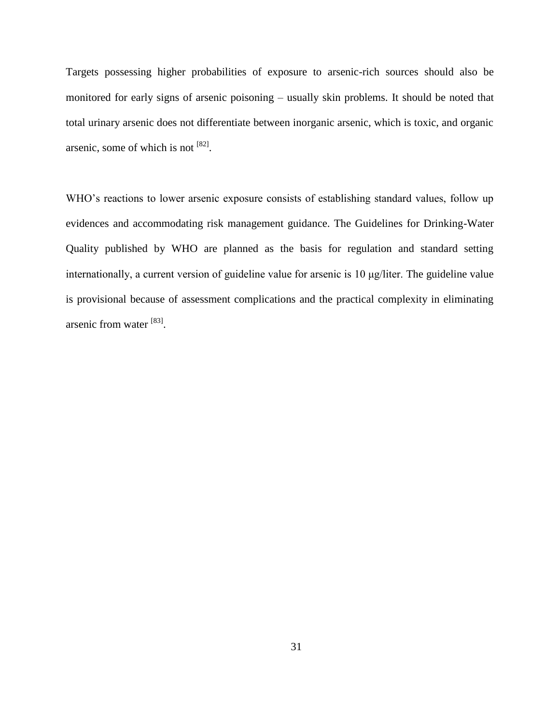Targets possessing higher probabilities of exposure to arsenic-rich sources should also be monitored for early signs of arsenic poisoning – usually skin problems. It should be noted that total urinary arsenic does not differentiate between inorganic arsenic, which is toxic, and organic arsenic, some of which is not  $[82]$ .

WHO's reactions to lower arsenic exposure consists of establishing standard values, follow up evidences and accommodating risk management guidance. The Guidelines for Drinking-Water Quality published by WHO are planned as the basis for regulation and standard setting internationally, a current version of guideline value for arsenic is 10 μg/liter. The guideline value is provisional because of assessment complications and the practical complexity in eliminating arsenic from water [83].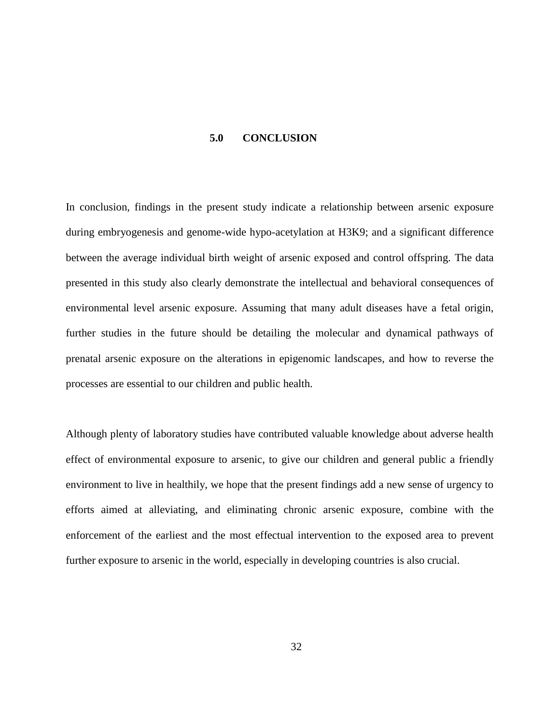#### **5.0 CONCLUSION**

<span id="page-38-0"></span>In conclusion, findings in the present study indicate a relationship between arsenic exposure during embryogenesis and genome-wide hypo-acetylation at H3K9; and a significant difference between the average individual birth weight of arsenic exposed and control offspring. The data presented in this study also clearly demonstrate the intellectual and behavioral consequences of environmental level arsenic exposure. Assuming that many adult diseases have a fetal origin, further studies in the future should be detailing the molecular and dynamical pathways of prenatal arsenic exposure on the alterations in epigenomic landscapes, and how to reverse the processes are essential to our children and public health.

Although plenty of laboratory studies have contributed valuable knowledge about adverse health effect of environmental exposure to arsenic, to give our children and general public a friendly environment to live in healthily, we hope that the present findings add a new sense of urgency to efforts aimed at alleviating, and eliminating chronic arsenic exposure, combine with the enforcement of the earliest and the most effectual intervention to the exposed area to prevent further exposure to arsenic in the world, especially in developing countries is also crucial.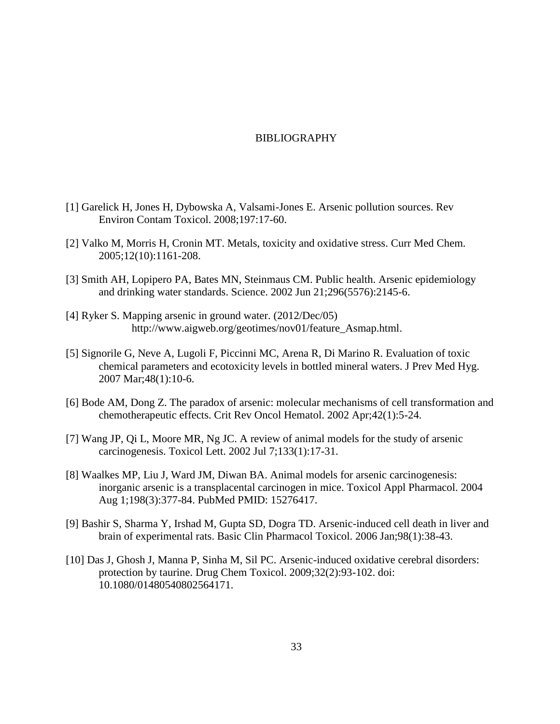#### BIBLIOGRAPHY

- <span id="page-39-0"></span>[1] Garelick H, Jones H, Dybowska A, Valsami-Jones E. Arsenic pollution sources. Rev Environ Contam Toxicol. 2008;197:17-60.
- [2] Valko M, Morris H, Cronin MT. Metals, toxicity and oxidative stress. Curr Med Chem. 2005;12(10):1161-208.
- [3] Smith AH, Lopipero PA, Bates MN, Steinmaus CM. Public health. Arsenic epidemiology and drinking water standards. Science. 2002 Jun 21;296(5576):2145-6.
- [4] Ryker S. Mapping arsenic in ground water. (2012/Dec/05) [http://www.aigweb.org/geotimes/nov01/feature\\_Asmap.html.](http://www.aigweb.org/geotimes/nov01/feature_Asmap.html)
- [5] Signorile G, Neve A, Lugoli F, Piccinni MC, Arena R, Di Marino R. Evaluation of toxic chemical parameters and ecotoxicity levels in bottled mineral waters. J Prev Med Hyg. 2007 Mar;48(1):10-6.
- [6] Bode AM, Dong Z. The paradox of arsenic: molecular mechanisms of cell transformation and chemotherapeutic effects. Crit Rev Oncol Hematol. 2002 Apr;42(1):5-24.
- [7] Wang JP, Qi L, Moore MR, Ng JC. A review of animal models for the study of arsenic carcinogenesis. Toxicol Lett. 2002 Jul 7;133(1):17-31.
- [8] Waalkes MP, Liu J, Ward JM, Diwan BA. Animal models for arsenic carcinogenesis: inorganic arsenic is a transplacental carcinogen in mice. Toxicol Appl Pharmacol. 2004 Aug 1;198(3):377-84. PubMed PMID: 15276417.
- [9] Bashir S, Sharma Y, Irshad M, Gupta SD, Dogra TD. Arsenic-induced cell death in liver and brain of experimental rats. Basic Clin Pharmacol Toxicol. 2006 Jan;98(1):38-43.
- [10] Das J, Ghosh J, Manna P, Sinha M, Sil PC. Arsenic-induced oxidative cerebral disorders: protection by taurine. Drug Chem Toxicol. 2009;32(2):93-102. doi: 10.1080/01480540802564171.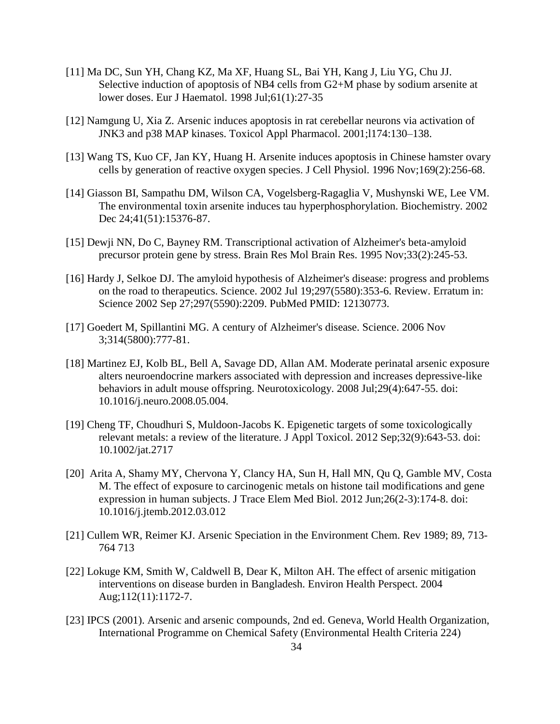- [11] Ma DC, Sun YH, Chang KZ, Ma XF, Huang SL, Bai YH, Kang J, Liu YG, Chu JJ. Selective induction of apoptosis of NB4 cells from G2+M phase by sodium arsenite at lower doses. Eur J Haematol. 1998 Jul;61(1):27-35
- [12] Namgung U, Xia Z. Arsenic induces apoptosis in rat cerebellar neurons via activation of JNK3 and p38 MAP kinases. Toxicol Appl Pharmacol. 2001;l174:130–138.
- [13] Wang TS, Kuo CF, Jan KY, Huang H. Arsenite induces apoptosis in Chinese hamster ovary cells by generation of reactive oxygen species. J Cell Physiol. 1996 Nov;169(2):256-68.
- [14] Giasson BI, Sampathu DM, Wilson CA, Vogelsberg-Ragaglia V, Mushynski WE, Lee VM. The environmental toxin arsenite induces tau hyperphosphorylation. Biochemistry. 2002 Dec 24;41(51):15376-87.
- [15] Dewji NN, Do C, Bayney RM. Transcriptional activation of Alzheimer's beta-amyloid precursor protein gene by stress. Brain Res Mol Brain Res. 1995 Nov;33(2):245-53.
- [16] Hardy J, Selkoe DJ. The amyloid hypothesis of Alzheimer's disease: progress and problems on the road to therapeutics. Science. 2002 Jul 19;297(5580):353-6. Review. Erratum in: Science 2002 Sep 27;297(5590):2209. PubMed PMID: 12130773.
- [17] Goedert M, Spillantini MG. A century of Alzheimer's disease. Science. 2006 Nov 3;314(5800):777-81.
- [18] Martinez EJ, Kolb BL, Bell A, Savage DD, Allan AM. Moderate perinatal arsenic exposure alters neuroendocrine markers associated with depression and increases depressive-like behaviors in adult mouse offspring. Neurotoxicology. 2008 Jul;29(4):647-55. doi: 10.1016/j.neuro.2008.05.004.
- [19] Cheng TF, Choudhuri S, Muldoon-Jacobs K. Epigenetic targets of some toxicologically relevant metals: a review of the literature. J Appl Toxicol. 2012 Sep;32(9):643-53. doi: 10.1002/jat.2717
- [20] Arita A, Shamy MY, Chervona Y, Clancy HA, Sun H, Hall MN, Qu Q, Gamble MV, Costa M. The effect of exposure to carcinogenic metals on histone tail modifications and gene expression in human subjects. J Trace Elem Med Biol. 2012 Jun;26(2-3):174-8. doi: 10.1016/j.jtemb.2012.03.012
- [21] Cullem WR, Reimer KJ. Arsenic Speciation in the Environment Chem. Rev 1989; 89, 713- 764 713
- [22] Lokuge KM, Smith W, Caldwell B, Dear K, Milton AH. The effect of arsenic mitigation interventions on disease burden in Bangladesh. Environ Health Perspect. 2004 Aug;112(11):1172-7.
- [23] IPCS (2001). Arsenic and arsenic compounds, 2nd ed. Geneva, World Health Organization, International Programme on Chemical Safety (Environmental Health Criteria 224)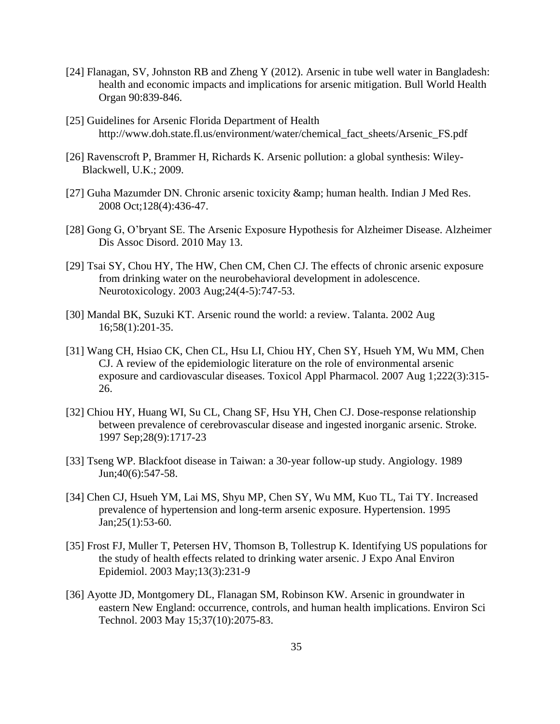- [24] Flanagan, SV, Johnston RB and Zheng Y (2012). Arsenic in tube well water in Bangladesh: health and economic impacts and implications for arsenic mitigation. Bull World Health Organ 90:839-846.
- [25] Guidelines for Arsenic Florida Department of Health http://www.doh.state.fl.us/environment/water/chemical\_fact\_sheets/Arsenic\_FS.pdf
- [26] Ravenscroft P, Brammer H, Richards K. Arsenic pollution: a global synthesis: Wiley-Blackwell, U.K.; 2009.
- [27] Guha Mazumder DN. Chronic arsenic toxicity & amp; human health. Indian J Med Res. 2008 Oct;128(4):436-47.
- [28] Gong G, O'bryant SE. The Arsenic Exposure Hypothesis for Alzheimer Disease. Alzheimer Dis Assoc Disord. 2010 May 13.
- [29] Tsai SY, Chou HY, The HW, Chen CM, Chen CJ. The effects of chronic arsenic exposure from drinking water on the neurobehavioral development in adolescence. Neurotoxicology. 2003 Aug;24(4-5):747-53.
- [30] Mandal BK, Suzuki KT. Arsenic round the world: a review. Talanta. 2002 Aug 16;58(1):201-35.
- [31] Wang CH, Hsiao CK, Chen CL, Hsu LI, Chiou HY, Chen SY, Hsueh YM, Wu MM, Chen CJ. A review of the epidemiologic literature on the role of environmental arsenic exposure and cardiovascular diseases. Toxicol Appl Pharmacol. 2007 Aug 1;222(3):315- 26.
- [32] Chiou HY, Huang WI, Su CL, Chang SF, Hsu YH, Chen CJ. Dose-response relationship between prevalence of cerebrovascular disease and ingested inorganic arsenic. Stroke. 1997 Sep;28(9):1717-23
- [33] Tseng WP. Blackfoot disease in Taiwan: a 30-year follow-up study. Angiology. 1989 Jun;40(6):547-58.
- [34] Chen CJ, Hsueh YM, Lai MS, Shyu MP, Chen SY, Wu MM, Kuo TL, Tai TY. Increased prevalence of hypertension and long-term arsenic exposure. Hypertension. 1995 Jan;25(1):53-60.
- [35] Frost FJ, Muller T, Petersen HV, Thomson B, Tollestrup K. Identifying US populations for the study of health effects related to drinking water arsenic. J Expo Anal Environ Epidemiol. 2003 May;13(3):231-9
- [36] Ayotte JD, Montgomery DL, Flanagan SM, Robinson KW. Arsenic in groundwater in eastern New England: occurrence, controls, and human health implications. Environ Sci Technol. 2003 May 15;37(10):2075-83.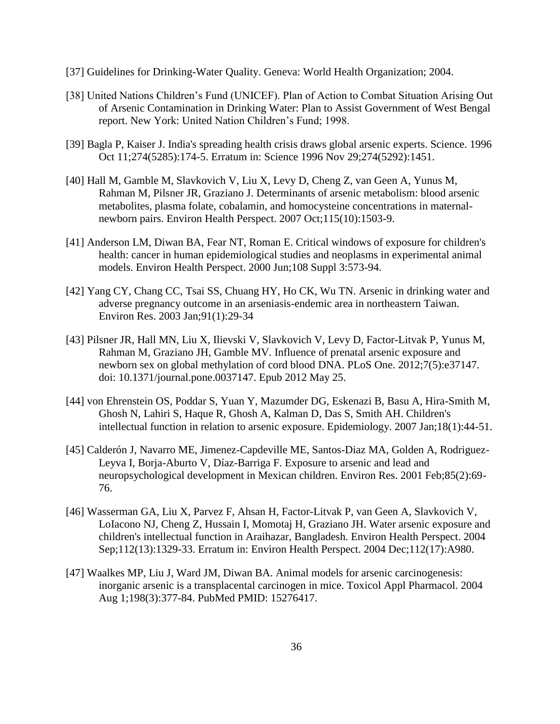- [37] Guidelines for Drinking-Water Quality. Geneva: World Health Organization; 2004.
- [38] United Nations Children's Fund (UNICEF). Plan of Action to Combat Situation Arising Out of Arsenic Contamination in Drinking Water: Plan to Assist Government of West Bengal report. New York: United Nation Children's Fund; 1998.
- [39] Bagla P, Kaiser J. India's spreading health crisis draws global arsenic experts. Science. 1996 Oct 11;274(5285):174-5. Erratum in: Science 1996 Nov 29;274(5292):1451.
- [40] Hall M, Gamble M, Slavkovich V, Liu X, Levy D, Cheng Z, van Geen A, Yunus M, Rahman M, Pilsner JR, Graziano J. Determinants of arsenic metabolism: blood arsenic metabolites, plasma folate, cobalamin, and homocysteine concentrations in maternalnewborn pairs. Environ Health Perspect. 2007 Oct;115(10):1503-9.
- [41] Anderson LM, Diwan BA, Fear NT, Roman E. Critical windows of exposure for children's health: cancer in human epidemiological studies and neoplasms in experimental animal models. Environ Health Perspect. 2000 Jun;108 Suppl 3:573-94.
- [42] Yang CY, Chang CC, Tsai SS, Chuang HY, Ho CK, Wu TN. Arsenic in drinking water and adverse pregnancy outcome in an arseniasis-endemic area in northeastern Taiwan. Environ Res. 2003 Jan;91(1):29-34
- [43] Pilsner JR, Hall MN, Liu X, Ilievski V, Slavkovich V, Levy D, Factor-Litvak P, Yunus M, Rahman M, Graziano JH, Gamble MV. Influence of prenatal arsenic exposure and newborn sex on global methylation of cord blood DNA. PLoS One. 2012;7(5):e37147. doi: 10.1371/journal.pone.0037147. Epub 2012 May 25.
- [44] von Ehrenstein OS, Poddar S, Yuan Y, Mazumder DG, Eskenazi B, Basu A, Hira-Smith M, Ghosh N, Lahiri S, Haque R, Ghosh A, Kalman D, Das S, Smith AH. Children's intellectual function in relation to arsenic exposure. Epidemiology. 2007 Jan;18(1):44-51.
- [45] Calderón J, Navarro ME, Jimenez-Capdeville ME, Santos-Diaz MA, Golden A, Rodriguez-Leyva I, Borja-Aburto V, Díaz-Barriga F. Exposure to arsenic and lead and neuropsychological development in Mexican children. Environ Res. 2001 Feb;85(2):69- 76.
- [46] Wasserman GA, Liu X, Parvez F, Ahsan H, Factor-Litvak P, van Geen A, Slavkovich V, LoIacono NJ, Cheng Z, Hussain I, Momotaj H, Graziano JH. Water arsenic exposure and children's intellectual function in Araihazar, Bangladesh. Environ Health Perspect. 2004 Sep;112(13):1329-33. Erratum in: Environ Health Perspect. 2004 Dec;112(17):A980.
- [47] Waalkes MP, Liu J, Ward JM, Diwan BA. Animal models for arsenic carcinogenesis: inorganic arsenic is a transplacental carcinogen in mice. Toxicol Appl Pharmacol. 2004 Aug 1;198(3):377-84. PubMed PMID: 15276417.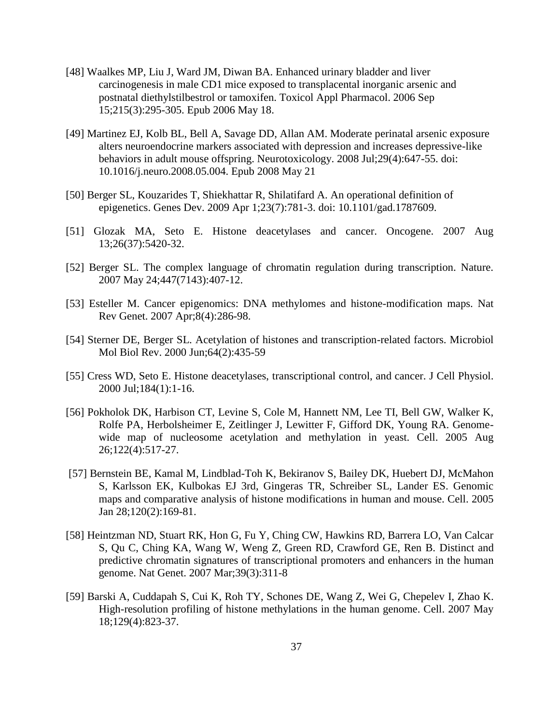- [48] Waalkes MP, Liu J, Ward JM, Diwan BA. Enhanced urinary bladder and liver carcinogenesis in male CD1 mice exposed to transplacental inorganic arsenic and postnatal diethylstilbestrol or tamoxifen. Toxicol Appl Pharmacol. 2006 Sep 15;215(3):295-305. Epub 2006 May 18.
- [49] Martinez EJ, Kolb BL, Bell A, Savage DD, Allan AM. Moderate perinatal arsenic exposure alters neuroendocrine markers associated with depression and increases depressive-like behaviors in adult mouse offspring. Neurotoxicology. 2008 Jul;29(4):647-55. doi: 10.1016/j.neuro.2008.05.004. Epub 2008 May 21
- [50] Berger SL, Kouzarides T, Shiekhattar R, Shilatifard A. An operational definition of epigenetics. Genes Dev. 2009 Apr 1;23(7):781-3. doi: 10.1101/gad.1787609.
- [51] Glozak MA, Seto E. Histone deacetylases and cancer. Oncogene. 2007 Aug 13;26(37):5420-32.
- [52] Berger SL. The complex language of chromatin regulation during transcription. Nature. 2007 May 24;447(7143):407-12.
- [53] Esteller M. Cancer epigenomics: DNA methylomes and histone-modification maps. Nat Rev Genet. 2007 Apr;8(4):286-98.
- [54] Sterner DE, Berger SL. Acetylation of histones and transcription-related factors. Microbiol Mol Biol Rev. 2000 Jun;64(2):435-59
- [55] Cress WD, Seto E. Histone deacetylases, transcriptional control, and cancer. J Cell Physiol. 2000 Jul;184(1):1-16.
- [56] Pokholok DK, Harbison CT, Levine S, Cole M, Hannett NM, Lee TI, Bell GW, Walker K, Rolfe PA, Herbolsheimer E, Zeitlinger J, Lewitter F, Gifford DK, Young RA. Genomewide map of nucleosome acetylation and methylation in yeast. Cell. 2005 Aug 26;122(4):517-27.
- [57] Bernstein BE, Kamal M, Lindblad-Toh K, Bekiranov S, Bailey DK, Huebert DJ, McMahon S, Karlsson EK, Kulbokas EJ 3rd, Gingeras TR, Schreiber SL, Lander ES. Genomic maps and comparative analysis of histone modifications in human and mouse. Cell. 2005 Jan 28;120(2):169-81.
- [58] Heintzman ND, Stuart RK, Hon G, Fu Y, Ching CW, Hawkins RD, Barrera LO, Van Calcar S, Qu C, Ching KA, Wang W, Weng Z, Green RD, Crawford GE, Ren B. Distinct and predictive chromatin signatures of transcriptional promoters and enhancers in the human genome. Nat Genet. 2007 Mar;39(3):311-8
- [59] Barski A, Cuddapah S, Cui K, Roh TY, Schones DE, Wang Z, Wei G, Chepelev I, Zhao K. High-resolution profiling of histone methylations in the human genome. Cell. 2007 May 18;129(4):823-37.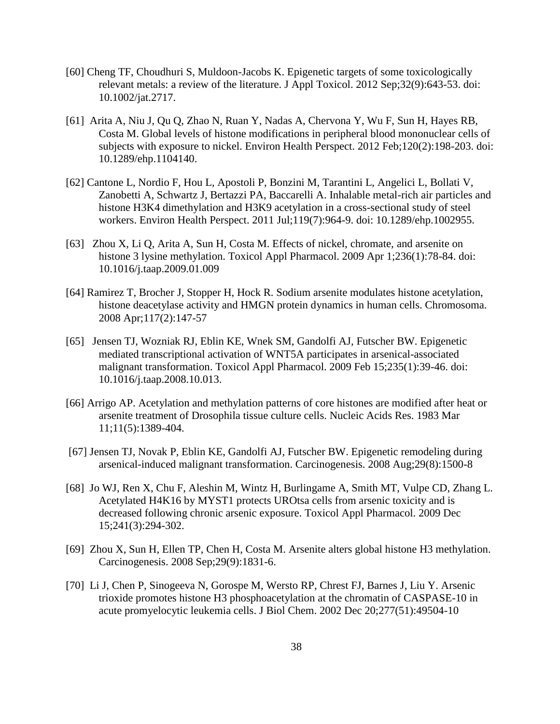- [60] Cheng TF, Choudhuri S, Muldoon-Jacobs K. Epigenetic targets of some toxicologically relevant metals: a review of the literature. J Appl Toxicol. 2012 Sep;32(9):643-53. doi: 10.1002/jat.2717.
- [61] Arita A, Niu J, Qu Q, Zhao N, Ruan Y, Nadas A, Chervona Y, Wu F, Sun H, Hayes RB, Costa M. Global levels of histone modifications in peripheral blood mononuclear cells of subjects with exposure to nickel. Environ Health Perspect. 2012 Feb;120(2):198-203. doi: 10.1289/ehp.1104140.
- [62] Cantone L, Nordio F, Hou L, Apostoli P, Bonzini M, Tarantini L, Angelici L, Bollati V, Zanobetti A, Schwartz J, Bertazzi PA, Baccarelli A. Inhalable metal-rich air particles and histone H3K4 dimethylation and H3K9 acetylation in a cross-sectional study of steel workers. Environ Health Perspect. 2011 Jul;119(7):964-9. doi: 10.1289/ehp.1002955.
- [63] Zhou X, Li Q, Arita A, Sun H, Costa M. Effects of nickel, chromate, and arsenite on histone 3 lysine methylation. Toxicol Appl Pharmacol. 2009 Apr 1;236(1):78-84. doi: 10.1016/j.taap.2009.01.009
- [64] Ramirez T, Brocher J, Stopper H, Hock R. Sodium arsenite modulates histone acetylation, histone deacetylase activity and HMGN protein dynamics in human cells. Chromosoma. 2008 Apr;117(2):147-57
- [65] Jensen TJ, Wozniak RJ, Eblin KE, Wnek SM, Gandolfi AJ, Futscher BW. Epigenetic mediated transcriptional activation of WNT5A participates in arsenical-associated malignant transformation. Toxicol Appl Pharmacol. 2009 Feb 15;235(1):39-46. doi: 10.1016/j.taap.2008.10.013.
- [66] Arrigo AP. Acetylation and methylation patterns of core histones are modified after heat or arsenite treatment of Drosophila tissue culture cells. Nucleic Acids Res. 1983 Mar 11;11(5):1389-404.
- [67] Jensen TJ, Novak P, Eblin KE, Gandolfi AJ, Futscher BW. Epigenetic remodeling during arsenical-induced malignant transformation. Carcinogenesis. 2008 Aug;29(8):1500-8
- [68] Jo WJ, Ren X, Chu F, Aleshin M, Wintz H, Burlingame A, Smith MT, Vulpe CD, Zhang L. Acetylated H4K16 by MYST1 protects UROtsa cells from arsenic toxicity and is decreased following chronic arsenic exposure. Toxicol Appl Pharmacol. 2009 Dec 15;241(3):294-302.
- [69] Zhou X, Sun H, Ellen TP, Chen H, Costa M. Arsenite alters global histone H3 methylation. Carcinogenesis. 2008 Sep;29(9):1831-6.
- [70] Li J, Chen P, Sinogeeva N, Gorospe M, Wersto RP, Chrest FJ, Barnes J, Liu Y. Arsenic trioxide promotes histone H3 phosphoacetylation at the chromatin of CASPASE-10 in acute promyelocytic leukemia cells. J Biol Chem. 2002 Dec 20;277(51):49504-10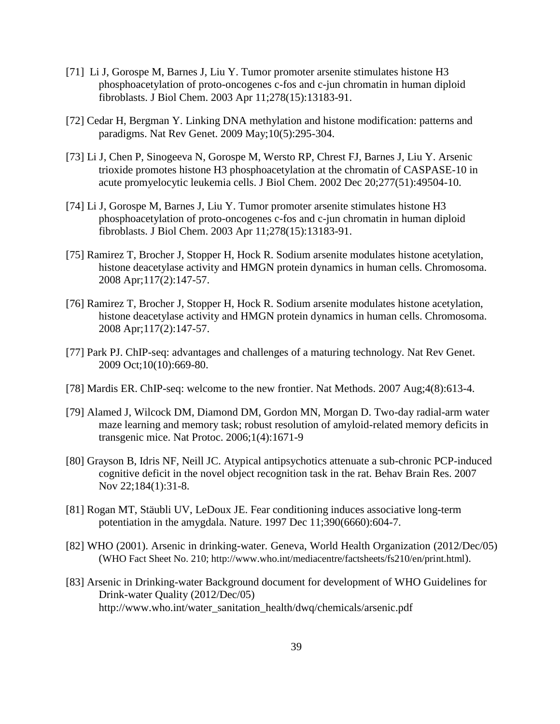- [71] Li J, Gorospe M, Barnes J, Liu Y. Tumor promoter arsenite stimulates histone H3 phosphoacetylation of proto-oncogenes c-fos and c-jun chromatin in human diploid fibroblasts. J Biol Chem. 2003 Apr 11;278(15):13183-91.
- [72] Cedar H, Bergman Y. Linking DNA methylation and histone modification: patterns and paradigms. Nat Rev Genet. 2009 May;10(5):295-304.
- [73] Li J, Chen P, Sinogeeva N, Gorospe M, Wersto RP, Chrest FJ, Barnes J, Liu Y. Arsenic trioxide promotes histone H3 phosphoacetylation at the chromatin of CASPASE-10 in acute promyelocytic leukemia cells. J Biol Chem. 2002 Dec 20;277(51):49504-10.
- [74] Li J, Gorospe M, Barnes J, Liu Y. Tumor promoter arsenite stimulates histone H3 phosphoacetylation of proto-oncogenes c-fos and c-jun chromatin in human diploid fibroblasts. J Biol Chem. 2003 Apr 11;278(15):13183-91.
- [75] Ramirez T, Brocher J, Stopper H, Hock R. Sodium arsenite modulates histone acetylation, histone deacetylase activity and HMGN protein dynamics in human cells. Chromosoma. 2008 Apr;117(2):147-57.
- [76] Ramirez T, Brocher J, Stopper H, Hock R. Sodium arsenite modulates histone acetylation, histone deacetylase activity and HMGN protein dynamics in human cells. Chromosoma. 2008 Apr;117(2):147-57.
- [77] Park PJ. ChIP-seq: advantages and challenges of a maturing technology. Nat Rev Genet. 2009 Oct;10(10):669-80.
- [78] Mardis ER. ChIP-seq: welcome to the new frontier. Nat Methods. 2007 Aug;4(8):613-4.
- [79] Alamed J, Wilcock DM, Diamond DM, Gordon MN, Morgan D. Two-day radial-arm water maze learning and memory task; robust resolution of amyloid-related memory deficits in transgenic mice. Nat Protoc. 2006;1(4):1671-9
- [80] Grayson B, Idris NF, Neill JC. Atypical antipsychotics attenuate a sub-chronic PCP-induced cognitive deficit in the novel object recognition task in the rat. Behav Brain Res. 2007 Nov 22;184(1):31-8.
- [81] Rogan MT, Stäubli UV, LeDoux JE. Fear conditioning induces associative long-term potentiation in the amygdala. Nature. 1997 Dec 11;390(6660):604-7.
- [82] WHO (2001). Arsenic in drinking-water. Geneva, World Health Organization (2012/Dec/05) (WHO Fact Sheet No. 210; http://www.who.int/mediacentre/factsheets/fs210/en/print.html).
- [83] Arsenic in Drinking-water Background document for development of WHO Guidelines for Drink-water Quality (2012/Dec/05) http://www.who.int/water\_sanitation\_health/dwq/chemicals/arsenic.pdf